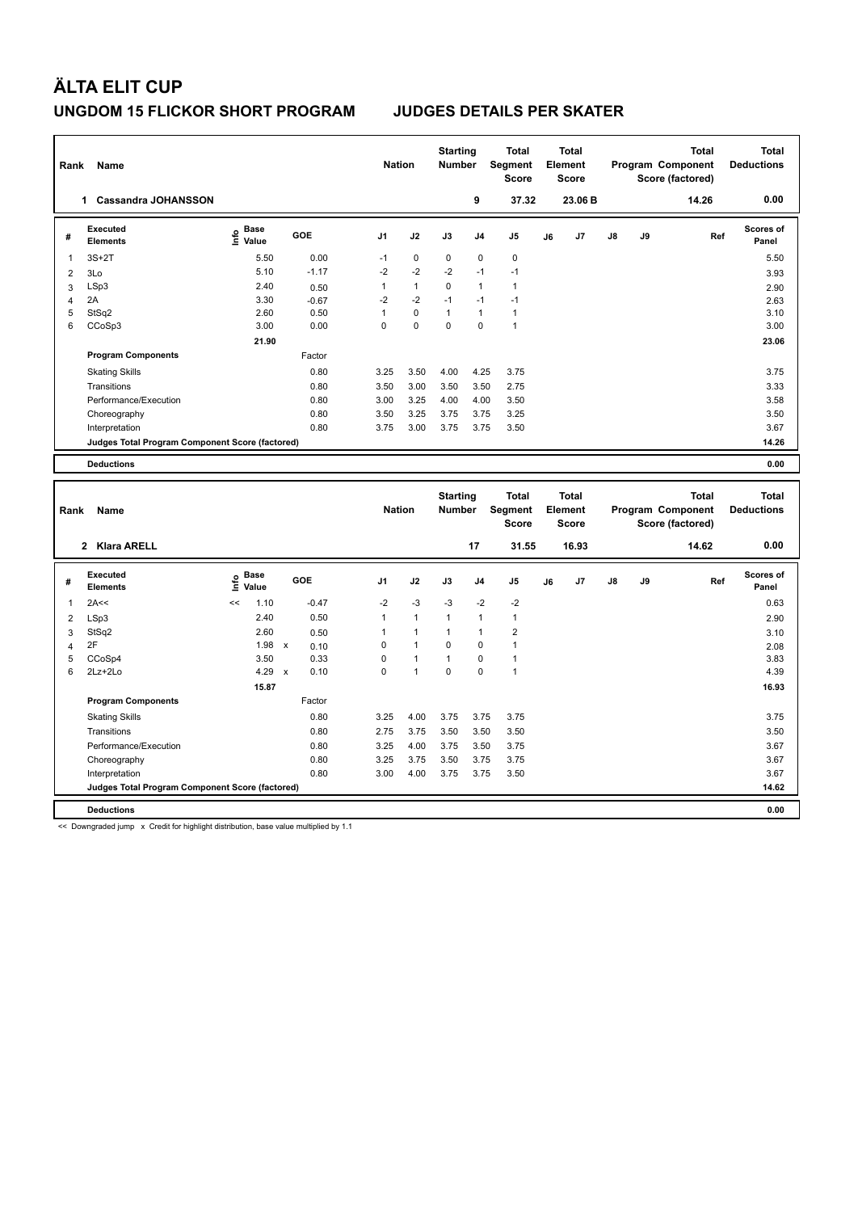| Rank                    | Name                                                              |                              |                              | <b>Nation</b>     |                              | <b>Starting</b><br>Number |                             | <b>Total</b><br>Segment<br><b>Score</b> |    | <b>Total</b><br><b>Element</b><br><b>Score</b> |    |    | <b>Total</b><br>Program Component<br>Score (factored) | <b>Total</b><br><b>Deductions</b> |
|-------------------------|-------------------------------------------------------------------|------------------------------|------------------------------|-------------------|------------------------------|---------------------------|-----------------------------|-----------------------------------------|----|------------------------------------------------|----|----|-------------------------------------------------------|-----------------------------------|
|                         | 1 Cassandra JOHANSSON                                             |                              |                              |                   |                              |                           | 9                           | 37.32                                   |    | 23.06 B                                        |    |    | 14.26                                                 | 0.00                              |
| #                       | Executed<br><b>Elements</b>                                       | Base<br>۴۵<br>Value          | GOE                          | J <sub>1</sub>    | J2                           | J3                        | J <sub>4</sub>              | J5                                      | J6 | J7                                             | J8 | J9 | Ref                                                   | <b>Scores of</b><br>Panel         |
| 1                       | $3S+2T$                                                           | 5.50                         | 0.00                         | $-1$              | $\pmb{0}$                    | $\mathbf 0$               | $\mathbf 0$                 | $\pmb{0}$                               |    |                                                |    |    |                                                       | 5.50                              |
| $\overline{2}$          | 3Lo                                                               | 5.10                         | $-1.17$                      | $-2$              | $-2$                         | $-2$                      | $-1$                        | $-1$                                    |    |                                                |    |    |                                                       | 3.93                              |
| 3                       | LSp3                                                              | 2.40                         | 0.50                         | 1                 | $\mathbf{1}$                 | 0                         | $\mathbf{1}$                | $\mathbf{1}$                            |    |                                                |    |    |                                                       | 2.90                              |
| $\overline{4}$          | 2A                                                                | 3.30                         | $-0.67$                      | $-2$              | $-2$                         | $-1$                      | $-1$                        | $-1$                                    |    |                                                |    |    |                                                       | 2.63                              |
| 5                       | StSq2                                                             | 2.60                         | 0.50                         | $\mathbf{1}$      | $\pmb{0}$                    | $\mathbf{1}$              | $\overline{1}$              | $\mathbf{1}$                            |    |                                                |    |    |                                                       | 3.10                              |
| 6                       | CCoSp3                                                            | 3.00                         | 0.00                         | 0                 | $\Omega$                     | $\Omega$                  | $\Omega$                    | $\mathbf{1}$                            |    |                                                |    |    |                                                       | 3.00                              |
|                         |                                                                   | 21.90                        |                              |                   |                              |                           |                             |                                         |    |                                                |    |    |                                                       | 23.06                             |
|                         | <b>Program Components</b>                                         |                              | Factor                       |                   |                              |                           |                             |                                         |    |                                                |    |    |                                                       |                                   |
|                         | <b>Skating Skills</b>                                             |                              | 0.80                         | 3.25              | 3.50                         | 4.00                      | 4.25                        | 3.75                                    |    |                                                |    |    |                                                       | 3.75                              |
|                         | Transitions                                                       |                              | 0.80                         | 3.50              | 3.00                         | 3.50                      | 3.50                        | 2.75                                    |    |                                                |    |    |                                                       | 3.33                              |
|                         | Performance/Execution                                             |                              | 0.80                         | 3.00              | 3.25                         | 4.00                      | 4.00                        | 3.50                                    |    |                                                |    |    |                                                       | 3.58                              |
|                         | Choreography                                                      |                              | 0.80                         | 3.50              | 3.25                         | 3.75                      | 3.75                        | 3.25                                    |    |                                                |    |    |                                                       | 3.50                              |
|                         | Interpretation                                                    |                              | 0.80                         | 3.75              | 3.00                         | 3.75                      | 3.75                        | 3.50                                    |    |                                                |    |    |                                                       | 3.67                              |
|                         | Judges Total Program Component Score (factored)                   |                              |                              |                   |                              |                           |                             |                                         |    |                                                |    |    |                                                       | 14.26                             |
|                         | <b>Deductions</b>                                                 |                              |                              |                   |                              |                           |                             |                                         |    |                                                |    |    |                                                       | 0.00                              |
|                         |                                                                   |                              |                              |                   |                              |                           |                             |                                         |    |                                                |    |    |                                                       |                                   |
|                         |                                                                   |                              |                              |                   |                              |                           |                             |                                         |    |                                                |    |    |                                                       |                                   |
|                         |                                                                   |                              |                              |                   |                              | <b>Starting</b>           |                             | <b>Total</b>                            |    | <b>Total</b>                                   |    |    | <b>Total</b>                                          | <b>Total</b>                      |
| Rank                    | Name                                                              |                              |                              | <b>Nation</b>     |                              | <b>Number</b>             |                             | Segment                                 |    | Element                                        |    |    | Program Component                                     | <b>Deductions</b>                 |
|                         |                                                                   |                              |                              |                   |                              |                           |                             | <b>Score</b>                            |    | <b>Score</b>                                   |    |    | Score (factored)                                      |                                   |
|                         | 2 Klara ARELL                                                     |                              |                              |                   |                              |                           | 17                          | 31.55                                   |    | 16.93                                          |    |    | 14.62                                                 | 0.00                              |
|                         |                                                                   |                              |                              |                   |                              |                           |                             |                                         |    |                                                |    |    |                                                       |                                   |
| #                       | <b>Executed</b><br><b>Elements</b>                                | <b>Base</b><br>١nf٥<br>Value | GOE                          | J <sub>1</sub>    | J2                           | J3                        | J <sub>4</sub>              | J5                                      | J6 | J7                                             | J8 | J9 | Ref                                                   | Scores of<br>Panel                |
| 1                       | 2A<<                                                              | <<                           |                              |                   |                              | $-3$                      |                             |                                         |    |                                                |    |    |                                                       | 0.63                              |
|                         |                                                                   | 1.10                         | $-0.47$                      | $-2$              | $-3$                         |                           | $-2$                        | $-2$                                    |    |                                                |    |    |                                                       |                                   |
| $\overline{\mathbf{c}}$ | LSp3                                                              | 2.40                         | 0.50                         | 1                 | $\mathbf{1}$                 | $\mathbf{1}$              | $\overline{1}$              | $\mathbf{1}$                            |    |                                                |    |    |                                                       | 2.90                              |
| 3                       | StSq2<br>2F                                                       | 2.60<br>1.98                 | 0.50<br>$\mathsf{x}$         | $\mathbf{1}$<br>0 | $\mathbf{1}$<br>$\mathbf{1}$ | $\mathbf{1}$<br>0         | $\mathbf{1}$<br>$\mathbf 0$ | $\overline{2}$<br>$\mathbf{1}$          |    |                                                |    |    |                                                       | 3.10                              |
| $\overline{4}$          |                                                                   | 3.50                         | 0.10                         | 0                 | $\mathbf{1}$                 | $\mathbf{1}$              | $\mathbf 0$                 | $\mathbf{1}$                            |    |                                                |    |    |                                                       | 2.08                              |
| 5<br>6                  | CCoSp4<br>2Lz+2Lo                                                 | 4.29                         | 0.33<br>0.10<br>$\mathbf{x}$ | 0                 | $\mathbf{1}$                 | 0                         | $\mathbf 0$                 | $\mathbf{1}$                            |    |                                                |    |    |                                                       | 3.83<br>4.39                      |
|                         |                                                                   | 15.87                        |                              |                   |                              |                           |                             |                                         |    |                                                |    |    |                                                       | 16.93                             |
|                         | <b>Program Components</b>                                         |                              | Factor                       |                   |                              |                           |                             |                                         |    |                                                |    |    |                                                       |                                   |
|                         |                                                                   |                              |                              |                   |                              |                           |                             |                                         |    |                                                |    |    |                                                       |                                   |
|                         | <b>Skating Skills</b>                                             |                              | 0.80                         | 3.25              | 4.00                         | 3.75                      | 3.75                        | 3.75                                    |    |                                                |    |    |                                                       | 3.75                              |
|                         | Transitions                                                       |                              | 0.80<br>0.80                 | 2.75<br>3.25      | 3.75<br>4.00                 | 3.50<br>3.75              | 3.50                        | 3.50                                    |    |                                                |    |    |                                                       | 3.50                              |
|                         | Performance/Execution                                             |                              |                              |                   |                              |                           | 3.50                        | 3.75                                    |    |                                                |    |    |                                                       | 3.67                              |
|                         | Choreography                                                      |                              | 0.80<br>0.80                 | 3.25<br>3.00      | 3.75<br>4.00                 | 3.50<br>3.75              | 3.75<br>3.75                | 3.75<br>3.50                            |    |                                                |    |    |                                                       | 3.67<br>3.67                      |
|                         | Interpretation<br>Judges Total Program Component Score (factored) |                              |                              |                   |                              |                           |                             |                                         |    |                                                |    |    |                                                       | 14.62                             |
|                         |                                                                   |                              |                              |                   |                              |                           |                             |                                         |    |                                                |    |    |                                                       |                                   |
|                         |                                                                   |                              |                              |                   |                              |                           |                             |                                         |    |                                                |    |    |                                                       |                                   |
|                         |                                                                   |                              |                              |                   |                              |                           |                             |                                         |    |                                                |    |    |                                                       |                                   |
|                         |                                                                   |                              |                              |                   |                              |                           |                             |                                         |    |                                                |    |    |                                                       |                                   |
|                         |                                                                   |                              |                              |                   |                              |                           |                             |                                         |    |                                                |    |    |                                                       |                                   |
|                         |                                                                   |                              |                              |                   |                              |                           |                             |                                         |    |                                                |    |    |                                                       |                                   |
|                         |                                                                   |                              |                              |                   |                              |                           |                             |                                         |    |                                                |    |    |                                                       |                                   |
|                         |                                                                   |                              |                              |                   |                              |                           |                             |                                         |    |                                                |    |    |                                                       |                                   |
|                         |                                                                   |                              |                              |                   |                              |                           |                             |                                         |    |                                                |    |    |                                                       |                                   |
|                         |                                                                   |                              |                              |                   |                              |                           |                             |                                         |    |                                                |    |    |                                                       |                                   |
|                         |                                                                   |                              |                              |                   |                              |                           |                             |                                         |    |                                                |    |    |                                                       |                                   |
|                         |                                                                   |                              |                              |                   |                              |                           |                             |                                         |    |                                                |    |    |                                                       |                                   |
|                         |                                                                   |                              |                              |                   |                              |                           |                             |                                         |    |                                                |    |    |                                                       |                                   |
|                         |                                                                   |                              |                              |                   |                              |                           |                             |                                         |    |                                                |    |    |                                                       |                                   |
|                         |                                                                   |                              |                              |                   |                              |                           |                             |                                         |    |                                                |    |    |                                                       |                                   |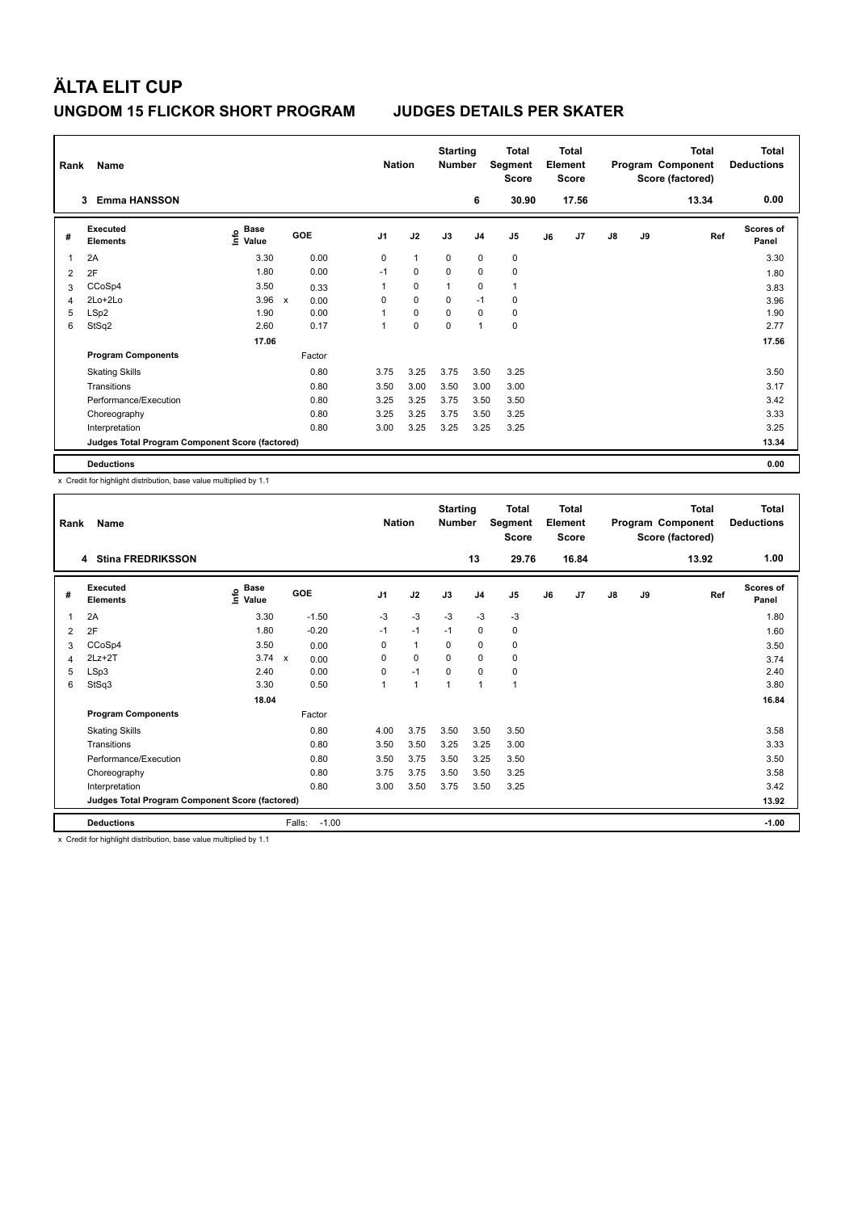| Name<br>Rank<br><b>Emma HANSSON</b><br>3 |                                                 |                                    |   |            |                | <b>Nation</b> | <b>Starting</b><br><b>Number</b> |                | Total<br>Segment<br><b>Score</b> |    | <b>Total</b><br>Element<br><b>Score</b> |               |    | Total<br>Program Component<br>Score (factored) | Total<br><b>Deductions</b> |
|------------------------------------------|-------------------------------------------------|------------------------------------|---|------------|----------------|---------------|----------------------------------|----------------|----------------------------------|----|-----------------------------------------|---------------|----|------------------------------------------------|----------------------------|
|                                          |                                                 |                                    |   |            |                |               |                                  | 6              | 30.90                            |    | 17.56                                   |               |    | 13.34                                          | 0.00                       |
| #                                        | Executed<br><b>Elements</b>                     | <b>Base</b><br>$\frac{e}{E}$ Value |   | <b>GOE</b> | J <sub>1</sub> | J2            | J3                               | J <sub>4</sub> | J5                               | J6 | J7                                      | $\mathsf{J}8$ | J9 | Ref                                            | <b>Scores of</b><br>Panel  |
| $\overline{\mathbf{1}}$                  | 2A                                              | 3.30                               |   | 0.00       | 0              | $\mathbf{1}$  | 0                                | $\mathbf 0$    | 0                                |    |                                         |               |    |                                                | 3.30                       |
| 2                                        | 2F                                              | 1.80                               |   | 0.00       | $-1$           | $\mathbf 0$   | $\Omega$                         | $\mathbf 0$    | 0                                |    |                                         |               |    |                                                | 1.80                       |
| 3                                        | CCoSp4                                          | 3.50                               |   | 0.33       |                | $\mathbf 0$   | 1                                | $\mathbf 0$    | $\mathbf{1}$                     |    |                                         |               |    |                                                | 3.83                       |
| 4                                        | $2Lo+2Lo$                                       | 3.96                               | X | 0.00       | 0              | 0             | 0                                | $-1$           | 0                                |    |                                         |               |    |                                                | 3.96                       |
| 5                                        | LSp2                                            | 1.90                               |   | 0.00       |                | $\mathbf 0$   | 0                                | $\mathbf 0$    | 0                                |    |                                         |               |    |                                                | 1.90                       |
| 6                                        | StSq2                                           | 2.60                               |   | 0.17       | 1              | $\mathbf 0$   | $\mathbf 0$                      | $\overline{1}$ | 0                                |    |                                         |               |    |                                                | 2.77                       |
|                                          |                                                 | 17.06                              |   |            |                |               |                                  |                |                                  |    |                                         |               |    |                                                | 17.56                      |
|                                          | <b>Program Components</b>                       |                                    |   | Factor     |                |               |                                  |                |                                  |    |                                         |               |    |                                                |                            |
|                                          | <b>Skating Skills</b>                           |                                    |   | 0.80       | 3.75           | 3.25          | 3.75                             | 3.50           | 3.25                             |    |                                         |               |    |                                                | 3.50                       |
|                                          | Transitions                                     |                                    |   | 0.80       | 3.50           | 3.00          | 3.50                             | 3.00           | 3.00                             |    |                                         |               |    |                                                | 3.17                       |
|                                          | Performance/Execution                           |                                    |   | 0.80       | 3.25           | 3.25          | 3.75                             | 3.50           | 3.50                             |    |                                         |               |    |                                                | 3.42                       |
|                                          | Choreography                                    |                                    |   | 0.80       | 3.25           | 3.25          | 3.75                             | 3.50           | 3.25                             |    |                                         |               |    |                                                | 3.33                       |
|                                          | Interpretation                                  |                                    |   | 0.80       | 3.00           | 3.25          | 3.25                             | 3.25           | 3.25                             |    |                                         |               |    |                                                | 3.25                       |
|                                          | Judges Total Program Component Score (factored) |                                    |   |            |                |               |                                  |                |                                  |    |                                         |               |    |                                                | 13.34                      |
|                                          | <b>Deductions</b>                               |                                    |   |            |                |               |                                  |                |                                  |    |                                         |               |    |                                                | 0.00                       |

x Credit for highlight distribution, base value multiplied by 1.1

| Rank | Name                                            |                            |                   | <b>Nation</b>  |              | <b>Starting</b><br><b>Number</b> |                | Total<br>Segment<br><b>Score</b> |    | <b>Total</b><br>Element<br><b>Score</b> |    |    | Total<br>Program Component<br>Score (factored) | <b>Total</b><br><b>Deductions</b> |
|------|-------------------------------------------------|----------------------------|-------------------|----------------|--------------|----------------------------------|----------------|----------------------------------|----|-----------------------------------------|----|----|------------------------------------------------|-----------------------------------|
|      | 4 Stina FREDRIKSSON                             |                            |                   |                |              |                                  | 13             | 29.76                            |    | 16.84                                   |    |    | 13.92                                          | 1.00                              |
| #    | Executed<br><b>Elements</b>                     | <b>Base</b><br>١m<br>Value | <b>GOE</b>        | J <sub>1</sub> | J2           | J3                               | J <sub>4</sub> | J <sub>5</sub>                   | J6 | J7                                      | J8 | J9 | Ref                                            | <b>Scores of</b><br>Panel         |
| 1    | 2A                                              | 3.30                       | $-1.50$           | $-3$           | $-3$         | $-3$                             | $-3$           | $-3$                             |    |                                         |    |    |                                                | 1.80                              |
| 2    | 2F                                              | 1.80                       | $-0.20$           | $-1$           | $-1$         | $-1$                             | $\mathbf 0$    | 0                                |    |                                         |    |    |                                                | 1.60                              |
| 3    | CCoSp4                                          | 3.50                       | 0.00              | 0              | 1            | 0                                | 0              | 0                                |    |                                         |    |    |                                                | 3.50                              |
| 4    | $2Lz+2T$                                        | $3.74 \times$              | 0.00              | 0              | 0            | $\mathbf 0$                      | $\mathbf 0$    | 0                                |    |                                         |    |    |                                                | 3.74                              |
| 5    | LSp3                                            | 2.40                       | 0.00              | 0              | $-1$         | $\Omega$                         | $\mathbf 0$    | 0                                |    |                                         |    |    |                                                | 2.40                              |
| 6    | StSq3                                           | 3.30                       | 0.50              | 1              | $\mathbf{1}$ | 1                                | $\mathbf{1}$   | 1                                |    |                                         |    |    |                                                | 3.80                              |
|      |                                                 | 18.04                      |                   |                |              |                                  |                |                                  |    |                                         |    |    |                                                | 16.84                             |
|      | <b>Program Components</b>                       |                            | Factor            |                |              |                                  |                |                                  |    |                                         |    |    |                                                |                                   |
|      | <b>Skating Skills</b>                           |                            | 0.80              | 4.00           | 3.75         | 3.50                             | 3.50           | 3.50                             |    |                                         |    |    |                                                | 3.58                              |
|      | Transitions                                     |                            | 0.80              | 3.50           | 3.50         | 3.25                             | 3.25           | 3.00                             |    |                                         |    |    |                                                | 3.33                              |
|      | Performance/Execution                           |                            | 0.80              | 3.50           | 3.75         | 3.50                             | 3.25           | 3.50                             |    |                                         |    |    |                                                | 3.50                              |
|      | Choreography                                    |                            | 0.80              | 3.75           | 3.75         | 3.50                             | 3.50           | 3.25                             |    |                                         |    |    |                                                | 3.58                              |
|      | Interpretation                                  |                            | 0.80              | 3.00           | 3.50         | 3.75                             | 3.50           | 3.25                             |    |                                         |    |    |                                                | 3.42                              |
|      | Judges Total Program Component Score (factored) |                            |                   |                |              |                                  |                |                                  |    |                                         |    |    |                                                | 13.92                             |
|      | <b>Deductions</b>                               |                            | $-1.00$<br>Falls: |                |              |                                  |                |                                  |    |                                         |    |    |                                                | $-1.00$                           |

x Credit for highlight distribution, base value multiplied by 1.1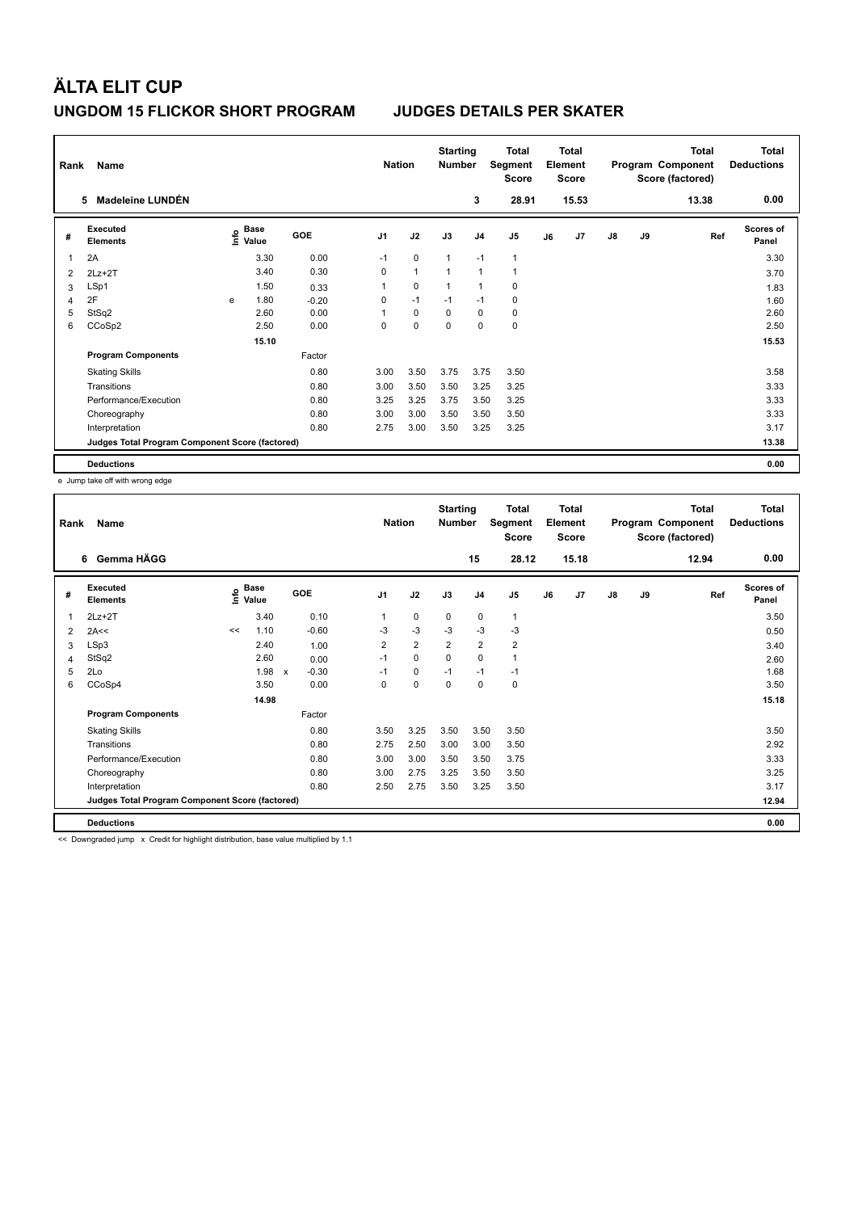| Name<br>Rank<br>Madeleine LUNDÉN<br>5 |                                                 |   |                                    |            | <b>Nation</b>  |              | <b>Starting</b><br><b>Number</b> |                         | <b>Total</b><br>Segment<br><b>Score</b> |    | <b>Total</b><br>Element<br>Score |               |    | <b>Total</b><br>Program Component<br>Score (factored) | <b>Total</b><br><b>Deductions</b> |
|---------------------------------------|-------------------------------------------------|---|------------------------------------|------------|----------------|--------------|----------------------------------|-------------------------|-----------------------------------------|----|----------------------------------|---------------|----|-------------------------------------------------------|-----------------------------------|
|                                       |                                                 |   |                                    |            |                |              |                                  | 3                       | 28.91                                   |    | 15.53                            |               |    | 13.38                                                 | 0.00                              |
| #                                     | Executed<br><b>Elements</b>                     |   | <b>Base</b><br>$\frac{e}{E}$ Value | <b>GOE</b> | J <sub>1</sub> | J2           | J3                               | J <sub>4</sub>          | J <sub>5</sub>                          | J6 | J7                               | $\mathsf{J}8$ | J9 | Ref                                                   | <b>Scores of</b><br>Panel         |
| 1                                     | 2A                                              |   | 3.30                               | 0.00       | $-1$           | $\mathbf 0$  | $\mathbf{1}$                     | $-1$                    | $\mathbf{1}$                            |    |                                  |               |    |                                                       | 3.30                              |
| 2                                     | $2Lz+2T$                                        |   | 3.40                               | 0.30       | 0              | $\mathbf{1}$ | $\overline{1}$                   | $\mathbf{1}$            | 1                                       |    |                                  |               |    |                                                       | 3.70                              |
| 3                                     | LSp1                                            |   | 1.50                               | 0.33       |                | 0            |                                  | $\overline{\mathbf{1}}$ | 0                                       |    |                                  |               |    |                                                       | 1.83                              |
| $\overline{4}$                        | 2F                                              | e | 1.80                               | $-0.20$    | 0              | $-1$         | $-1$                             | $-1$                    | 0                                       |    |                                  |               |    |                                                       | 1.60                              |
| 5                                     | StSq2                                           |   | 2.60                               | 0.00       |                | 0            | 0                                | $\mathbf 0$             | 0                                       |    |                                  |               |    |                                                       | 2.60                              |
| 6                                     | CCoSp2                                          |   | 2.50                               | 0.00       | 0              | $\mathbf 0$  | $\mathbf 0$                      | $\mathbf 0$             | $\mathbf 0$                             |    |                                  |               |    |                                                       | 2.50                              |
|                                       |                                                 |   | 15.10                              |            |                |              |                                  |                         |                                         |    |                                  |               |    |                                                       | 15.53                             |
|                                       | <b>Program Components</b>                       |   |                                    | Factor     |                |              |                                  |                         |                                         |    |                                  |               |    |                                                       |                                   |
|                                       | <b>Skating Skills</b>                           |   |                                    | 0.80       | 3.00           | 3.50         | 3.75                             | 3.75                    | 3.50                                    |    |                                  |               |    |                                                       | 3.58                              |
|                                       | Transitions                                     |   |                                    | 0.80       | 3.00           | 3.50         | 3.50                             | 3.25                    | 3.25                                    |    |                                  |               |    |                                                       | 3.33                              |
|                                       | Performance/Execution                           |   |                                    | 0.80       | 3.25           | 3.25         | 3.75                             | 3.50                    | 3.25                                    |    |                                  |               |    |                                                       | 3.33                              |
|                                       | Choreography                                    |   |                                    | 0.80       | 3.00           | 3.00         | 3.50                             | 3.50                    | 3.50                                    |    |                                  |               |    |                                                       | 3.33                              |
|                                       | Interpretation                                  |   |                                    | 0.80       | 2.75           | 3.00         | 3.50                             | 3.25                    | 3.25                                    |    |                                  |               |    |                                                       | 3.17                              |
|                                       | Judges Total Program Component Score (factored) |   |                                    |            |                |              |                                  |                         |                                         |    |                                  |               |    |                                                       | 13.38                             |
|                                       | <b>Deductions</b>                               |   |                                    |            |                |              |                                  |                         |                                         |    |                                  |               |    |                                                       | 0.00                              |

e Jump take off with wrong edge

| Rank | Name<br>Gemma HÄGG<br>6                         |                        |       |                         | <b>Nation</b>           |                | <b>Starting</b><br><b>Number</b> |                | <b>Total</b><br>Segment<br><b>Score</b> |    | <b>Total</b><br>Element<br><b>Score</b> |    |    | <b>Total</b><br>Program Component<br>Score (factored) | Total<br><b>Deductions</b> |
|------|-------------------------------------------------|------------------------|-------|-------------------------|-------------------------|----------------|----------------------------------|----------------|-----------------------------------------|----|-----------------------------------------|----|----|-------------------------------------------------------|----------------------------|
|      |                                                 |                        |       |                         |                         |                |                                  | 15             | 28.12                                   |    | 15.18                                   |    |    | 12.94                                                 | 0.00                       |
| #    | Executed<br><b>Elements</b>                     | $E$ Base<br>$E$ $V$ -' |       | GOE                     | J <sub>1</sub>          | J2             | J3                               | J <sub>4</sub> | J5                                      | J6 | J7                                      | J8 | J9 | Ref                                                   | <b>Scores of</b><br>Panel  |
| 1    | $2Lz+2T$                                        |                        | 3.40  | 0.10                    | 1                       | 0              | 0                                | $\mathbf 0$    | $\mathbf{1}$                            |    |                                         |    |    |                                                       | 3.50                       |
| 2    | 2A<<                                            | <<                     | 1.10  | $-0.60$                 | $-3$                    | $-3$           | $-3$                             | $-3$           | $-3$                                    |    |                                         |    |    |                                                       | 0.50                       |
| 3    | LSp3                                            |                        | 2.40  | 1.00                    | $\overline{\mathbf{c}}$ | $\overline{2}$ | 2                                | $\overline{2}$ | 2                                       |    |                                         |    |    |                                                       | 3.40                       |
| 4    | StSq2                                           |                        | 2.60  | 0.00                    | $-1$                    | 0              | 0                                | 0              | 1                                       |    |                                         |    |    |                                                       | 2.60                       |
| 5    | 2Lo                                             |                        | 1.98  | $-0.30$<br>$\mathsf{x}$ | $-1$                    | 0              | $-1$                             | $-1$           | $-1$                                    |    |                                         |    |    |                                                       | 1.68                       |
| 6    | CCoSp4                                          |                        | 3.50  | 0.00                    | 0                       | 0              | 0                                | 0              | 0                                       |    |                                         |    |    |                                                       | 3.50                       |
|      |                                                 |                        | 14.98 |                         |                         |                |                                  |                |                                         |    |                                         |    |    |                                                       | 15.18                      |
|      | <b>Program Components</b>                       |                        |       | Factor                  |                         |                |                                  |                |                                         |    |                                         |    |    |                                                       |                            |
|      | <b>Skating Skills</b>                           |                        |       | 0.80                    | 3.50                    | 3.25           | 3.50                             | 3.50           | 3.50                                    |    |                                         |    |    |                                                       | 3.50                       |
|      | Transitions                                     |                        |       | 0.80                    | 2.75                    | 2.50           | 3.00                             | 3.00           | 3.50                                    |    |                                         |    |    |                                                       | 2.92                       |
|      | Performance/Execution                           |                        |       | 0.80                    | 3.00                    | 3.00           | 3.50                             | 3.50           | 3.75                                    |    |                                         |    |    |                                                       | 3.33                       |
|      | Choreography                                    |                        |       | 0.80                    | 3.00                    | 2.75           | 3.25                             | 3.50           | 3.50                                    |    |                                         |    |    |                                                       | 3.25                       |
|      | Interpretation                                  |                        |       | 0.80                    | 2.50                    | 2.75           | 3.50                             | 3.25           | 3.50                                    |    |                                         |    |    |                                                       | 3.17                       |
|      | Judges Total Program Component Score (factored) |                        |       |                         |                         |                |                                  |                |                                         |    |                                         |    |    |                                                       | 12.94                      |
|      | <b>Deductions</b>                               |                        |       |                         |                         |                |                                  |                |                                         |    |                                         |    |    |                                                       | 0.00                       |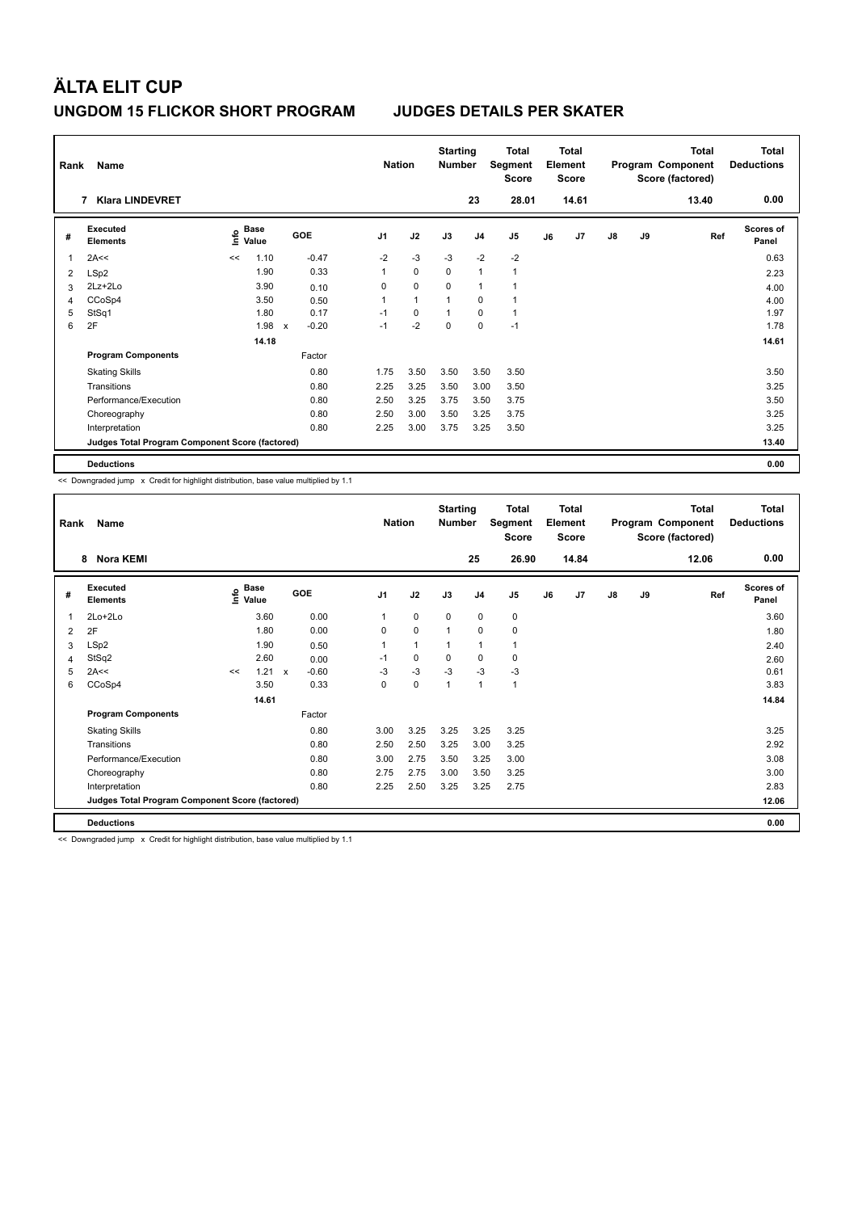| Name<br>Rank<br><b>Klara LINDEVRET</b><br>7 |                                                 |      |                      |                           | <b>Nation</b> |                | <b>Starting</b><br><b>Number</b> |          | Total<br>Segment<br><b>Score</b> |                | <b>Total</b><br>Element<br>Score |       |               | <b>Total</b><br>Program Component<br>Score (factored) | <b>Total</b><br><b>Deductions</b> |                           |
|---------------------------------------------|-------------------------------------------------|------|----------------------|---------------------------|---------------|----------------|----------------------------------|----------|----------------------------------|----------------|----------------------------------|-------|---------------|-------------------------------------------------------|-----------------------------------|---------------------------|
|                                             |                                                 |      |                      |                           |               |                |                                  |          | 23                               | 28.01          |                                  | 14.61 |               |                                                       | 13.40                             | 0.00                      |
| #                                           | Executed<br><b>Elements</b>                     | lnfo | <b>Base</b><br>Value |                           | GOE           | J <sub>1</sub> | J2                               | J3       | J <sub>4</sub>                   | J <sub>5</sub> | J6                               | J7    | $\mathsf{J}8$ | J9                                                    | Ref                               | <b>Scores of</b><br>Panel |
| 1                                           | 2A<<                                            | <<   | 1.10                 |                           | $-0.47$       | $-2$           | $-3$                             | $-3$     | $-2$                             | $-2$           |                                  |       |               |                                                       |                                   | 0.63                      |
| 2                                           | LSp2                                            |      | 1.90                 |                           | 0.33          | 1              | $\mathbf 0$                      | $\Omega$ | $\mathbf{1}$                     | $\mathbf{1}$   |                                  |       |               |                                                       |                                   | 2.23                      |
| 3                                           | $2Lz+2Lo$                                       |      | 3.90                 |                           | 0.10          | 0              | $\mathbf 0$                      | 0        | $\mathbf{1}$                     | $\mathbf{1}$   |                                  |       |               |                                                       |                                   | 4.00                      |
| 4                                           | CCoSp4                                          |      | 3.50                 |                           | 0.50          | 1              | $\mathbf{1}$                     |          | 0                                | $\overline{1}$ |                                  |       |               |                                                       |                                   | 4.00                      |
| 5                                           | StSq1                                           |      | 1.80                 |                           | 0.17          | $-1$           | $\mathbf 0$                      |          | $\mathbf 0$                      | $\mathbf{1}$   |                                  |       |               |                                                       |                                   | 1.97                      |
| 6                                           | 2F                                              |      | 1.98                 | $\boldsymbol{\mathsf{x}}$ | $-0.20$       | $-1$           | $-2$                             | $\Omega$ | $\mathbf 0$                      | $-1$           |                                  |       |               |                                                       |                                   | 1.78                      |
|                                             |                                                 |      | 14.18                |                           |               |                |                                  |          |                                  |                |                                  |       |               |                                                       |                                   | 14.61                     |
|                                             | <b>Program Components</b>                       |      |                      |                           | Factor        |                |                                  |          |                                  |                |                                  |       |               |                                                       |                                   |                           |
|                                             | <b>Skating Skills</b>                           |      |                      |                           | 0.80          | 1.75           | 3.50                             | 3.50     | 3.50                             | 3.50           |                                  |       |               |                                                       |                                   | 3.50                      |
|                                             | Transitions                                     |      |                      |                           | 0.80          | 2.25           | 3.25                             | 3.50     | 3.00                             | 3.50           |                                  |       |               |                                                       |                                   | 3.25                      |
|                                             | Performance/Execution                           |      |                      |                           | 0.80          | 2.50           | 3.25                             | 3.75     | 3.50                             | 3.75           |                                  |       |               |                                                       |                                   | 3.50                      |
|                                             | Choreography                                    |      |                      |                           | 0.80          | 2.50           | 3.00                             | 3.50     | 3.25                             | 3.75           |                                  |       |               |                                                       |                                   | 3.25                      |
|                                             | Interpretation                                  |      |                      |                           | 0.80          | 2.25           | 3.00                             | 3.75     | 3.25                             | 3.50           |                                  |       |               |                                                       |                                   | 3.25                      |
|                                             | Judges Total Program Component Score (factored) |      |                      |                           |               |                |                                  |          |                                  |                |                                  |       |               |                                                       |                                   | 13.40                     |
|                                             | <b>Deductions</b>                               |      |                      |                           |               |                |                                  |          |                                  |                |                                  |       |               |                                                       |                                   | 0.00                      |

<< Downgraded jump x Credit for highlight distribution, base value multiplied by 1.1

|   | Name<br>Rank<br>Nora KEMI<br>8                  |    |                                       |              |         |                | <b>Nation</b> | <b>Starting</b><br><b>Number</b> |                | Total<br>Segment<br><b>Score</b> |    | Total<br>Element<br><b>Score</b> |               |    | <b>Total</b><br>Program Component<br>Score (factored) | Total<br><b>Deductions</b> |
|---|-------------------------------------------------|----|---------------------------------------|--------------|---------|----------------|---------------|----------------------------------|----------------|----------------------------------|----|----------------------------------|---------------|----|-------------------------------------------------------|----------------------------|
|   |                                                 |    |                                       |              |         |                |               |                                  | 25             | 26.90                            |    | 14.84                            |               |    | 12.06                                                 | 0.00                       |
| # | Executed<br><b>Elements</b>                     |    | <b>Base</b><br>$\sum_{i=1}^{6}$ Value | <b>GOE</b>   |         | J <sub>1</sub> | J2            | J3                               | J <sub>4</sub> | J <sub>5</sub>                   | J6 | J7                               | $\mathsf{J}8$ | J9 | Ref                                                   | <b>Scores of</b><br>Panel  |
| 1 | $2Lo+2Lo$                                       |    | 3.60                                  |              | 0.00    | 1              | 0             | $\mathbf 0$                      | $\mathbf 0$    | 0                                |    |                                  |               |    |                                                       | 3.60                       |
| 2 | 2F                                              |    | 1.80                                  |              | 0.00    | 0              | 0             | 1                                | $\mathbf 0$    | 0                                |    |                                  |               |    |                                                       | 1.80                       |
| 3 | LSp2                                            |    | 1.90                                  |              | 0.50    | 1              | 1             | 1                                | $\mathbf{1}$   | 1                                |    |                                  |               |    |                                                       | 2.40                       |
| 4 | StSq2                                           |    | 2.60                                  |              | 0.00    | $-1$           | 0             | $\mathbf 0$                      | $\mathbf 0$    | 0                                |    |                                  |               |    |                                                       | 2.60                       |
| 5 | 2A<<                                            | << | 1.21                                  | $\mathsf{x}$ | $-0.60$ | $-3$           | $-3$          | $-3$                             | $-3$           | $-3$                             |    |                                  |               |    |                                                       | 0.61                       |
| 6 | CCoSp4                                          |    | 3.50                                  |              | 0.33    | 0              | 0             | 1                                | $\mathbf{1}$   | 1                                |    |                                  |               |    |                                                       | 3.83                       |
|   |                                                 |    | 14.61                                 |              |         |                |               |                                  |                |                                  |    |                                  |               |    |                                                       | 14.84                      |
|   | <b>Program Components</b>                       |    |                                       |              | Factor  |                |               |                                  |                |                                  |    |                                  |               |    |                                                       |                            |
|   | <b>Skating Skills</b>                           |    |                                       |              | 0.80    | 3.00           | 3.25          | 3.25                             | 3.25           | 3.25                             |    |                                  |               |    |                                                       | 3.25                       |
|   | Transitions                                     |    |                                       |              | 0.80    | 2.50           | 2.50          | 3.25                             | 3.00           | 3.25                             |    |                                  |               |    |                                                       | 2.92                       |
|   | Performance/Execution                           |    |                                       |              | 0.80    | 3.00           | 2.75          | 3.50                             | 3.25           | 3.00                             |    |                                  |               |    |                                                       | 3.08                       |
|   | Choreography                                    |    |                                       |              | 0.80    | 2.75           | 2.75          | 3.00                             | 3.50           | 3.25                             |    |                                  |               |    |                                                       | 3.00                       |
|   | Interpretation                                  |    |                                       |              | 0.80    | 2.25           | 2.50          | 3.25                             | 3.25           | 2.75                             |    |                                  |               |    |                                                       | 2.83                       |
|   | Judges Total Program Component Score (factored) |    |                                       |              |         |                |               |                                  |                |                                  |    |                                  |               |    |                                                       | 12.06                      |
|   | <b>Deductions</b>                               |    |                                       |              |         |                |               |                                  |                |                                  |    |                                  |               |    |                                                       | 0.00                       |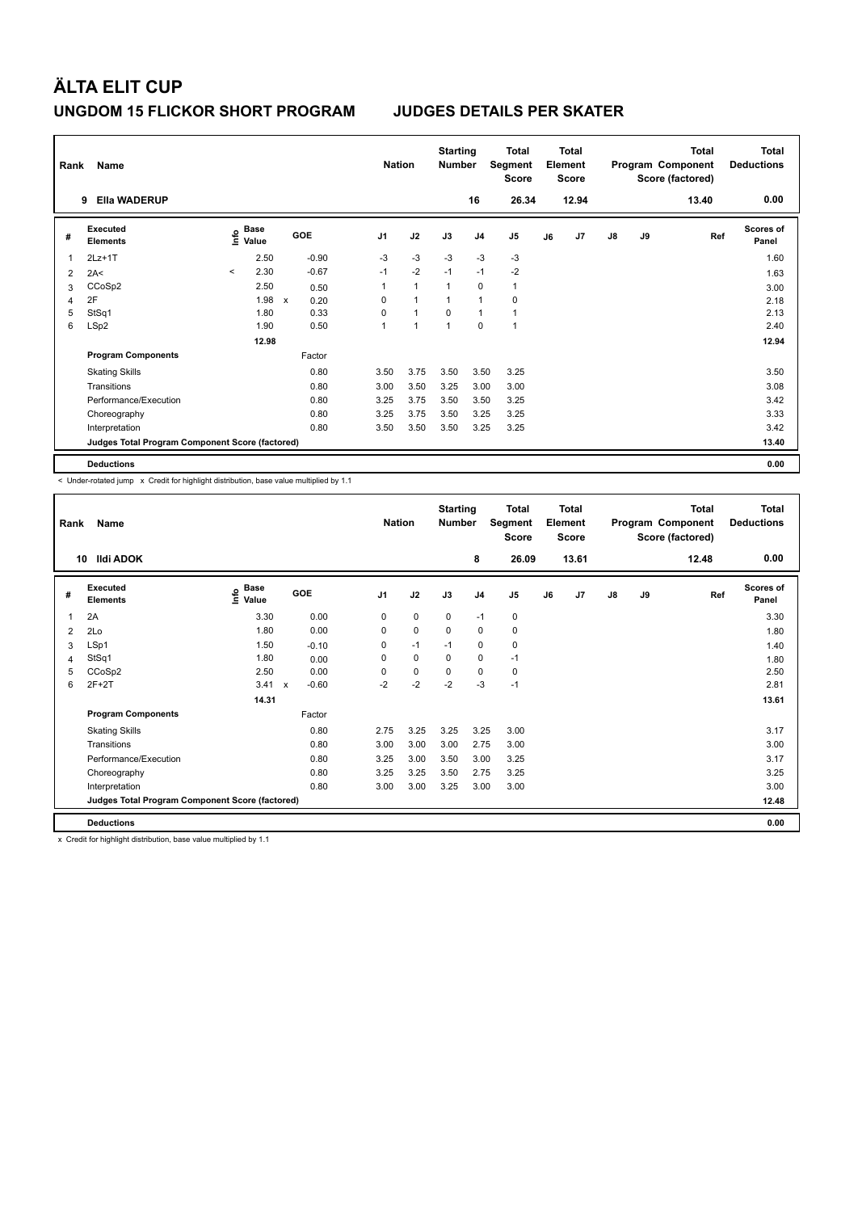|   | Name<br>Rank<br><b>Ella WADERUP</b><br>9        |         |                      |                           |         |                | <b>Nation</b>  | <b>Starting</b><br><b>Number</b> |                | Total<br>Segment<br><b>Score</b> |    | <b>Total</b><br>Element<br><b>Score</b> |               |    | <b>Total</b><br>Program Component<br>Score (factored) | <b>Total</b><br><b>Deductions</b> |
|---|-------------------------------------------------|---------|----------------------|---------------------------|---------|----------------|----------------|----------------------------------|----------------|----------------------------------|----|-----------------------------------------|---------------|----|-------------------------------------------------------|-----------------------------------|
|   |                                                 |         |                      |                           |         |                |                |                                  | 16             | 26.34                            |    | 12.94                                   |               |    | 13.40                                                 | 0.00                              |
| # | Executed<br><b>Elements</b>                     | lnfo    | <b>Base</b><br>Value |                           | GOE     | J <sub>1</sub> | J2             | J3                               | J <sub>4</sub> | J <sub>5</sub>                   | J6 | J7                                      | $\mathsf{J}8$ | J9 | Ref                                                   | <b>Scores of</b><br>Panel         |
| 1 | $2Lz+1T$                                        |         | 2.50                 |                           | $-0.90$ | $-3$           | $-3$           | $-3$                             | -3             | $-3$                             |    |                                         |               |    |                                                       | 1.60                              |
| 2 | 2A<                                             | $\prec$ | 2.30                 |                           | $-0.67$ | $-1$           | $-2$           | $-1$                             | $-1$           | $-2$                             |    |                                         |               |    |                                                       | 1.63                              |
| 3 | CCoSp2                                          |         | 2.50                 |                           | 0.50    | 1              | $\overline{1}$ | $\overline{1}$                   | 0              | $\mathbf{1}$                     |    |                                         |               |    |                                                       | 3.00                              |
| 4 | 2F                                              |         | 1.98                 | $\boldsymbol{\mathsf{x}}$ | 0.20    | 0              | $\overline{1}$ | -1                               | $\mathbf{1}$   | 0                                |    |                                         |               |    |                                                       | 2.18                              |
| 5 | StSq1                                           |         | 1.80                 |                           | 0.33    | 0              | $\overline{1}$ | $\Omega$                         | $\overline{1}$ | $\mathbf{1}$                     |    |                                         |               |    |                                                       | 2.13                              |
| 6 | LSp2                                            |         | 1.90                 |                           | 0.50    | 1              | 1              | $\overline{1}$                   | $\mathbf 0$    | 1                                |    |                                         |               |    |                                                       | 2.40                              |
|   |                                                 |         | 12.98                |                           |         |                |                |                                  |                |                                  |    |                                         |               |    |                                                       | 12.94                             |
|   | <b>Program Components</b>                       |         |                      |                           | Factor  |                |                |                                  |                |                                  |    |                                         |               |    |                                                       |                                   |
|   | <b>Skating Skills</b>                           |         |                      |                           | 0.80    | 3.50           | 3.75           | 3.50                             | 3.50           | 3.25                             |    |                                         |               |    |                                                       | 3.50                              |
|   | Transitions                                     |         |                      |                           | 0.80    | 3.00           | 3.50           | 3.25                             | 3.00           | 3.00                             |    |                                         |               |    |                                                       | 3.08                              |
|   | Performance/Execution                           |         |                      |                           | 0.80    | 3.25           | 3.75           | 3.50                             | 3.50           | 3.25                             |    |                                         |               |    |                                                       | 3.42                              |
|   | Choreography                                    |         |                      |                           | 0.80    | 3.25           | 3.75           | 3.50                             | 3.25           | 3.25                             |    |                                         |               |    |                                                       | 3.33                              |
|   | Interpretation                                  |         |                      |                           | 0.80    | 3.50           | 3.50           | 3.50                             | 3.25           | 3.25                             |    |                                         |               |    |                                                       | 3.42                              |
|   | Judges Total Program Component Score (factored) |         |                      |                           |         |                |                |                                  |                |                                  |    |                                         |               |    |                                                       | 13.40                             |
|   | <b>Deductions</b>                               |         |                      |                           |         |                |                |                                  |                |                                  |    |                                         |               |    |                                                       | 0.00                              |

< Under-rotated jump x Credit for highlight distribution, base value multiplied by 1.1

| Rank | Name                                            | <b>Nation</b>              |                                      | <b>Starting</b><br><b>Number</b> |             | Total<br>Segment<br>Score |                | <b>Total</b><br>Element<br><b>Score</b> |    |       | <b>Total</b><br>Program Component<br>Score (factored) | <b>Total</b><br><b>Deductions</b> |       |                    |
|------|-------------------------------------------------|----------------------------|--------------------------------------|----------------------------------|-------------|---------------------------|----------------|-----------------------------------------|----|-------|-------------------------------------------------------|-----------------------------------|-------|--------------------|
| 10   | Ildi ADOK                                       |                            |                                      |                                  |             |                           | 8              | 26.09                                   |    | 13.61 |                                                       |                                   | 12.48 | 0.00               |
| #    | Executed<br><b>Elements</b>                     | <b>Base</b><br>١m<br>Value | GOE                                  | J <sub>1</sub>                   | J2          | J3                        | J <sub>4</sub> | J5                                      | J6 | J7    | $\mathsf{J}8$                                         | J9                                | Ref   | Scores of<br>Panel |
| 1    | 2A                                              | 3.30                       | 0.00                                 | 0                                | $\mathbf 0$ | $\mathbf 0$               | $-1$           | 0                                       |    |       |                                                       |                                   |       | 3.30               |
| 2    | 2Lo                                             | 1.80                       | 0.00                                 | 0                                | $\mathbf 0$ | $\mathbf 0$               | $\mathbf 0$    | 0                                       |    |       |                                                       |                                   |       | 1.80               |
| 3    | LSp1                                            | 1.50                       | $-0.10$                              | $\Omega$                         | $-1$        | $-1$                      | $\mathbf 0$    | 0                                       |    |       |                                                       |                                   |       | 1.40               |
| 4    | StSq1                                           | 1.80                       | 0.00                                 | 0                                | $\mathbf 0$ | 0                         | $\mathbf 0$    | $-1$                                    |    |       |                                                       |                                   |       | 1.80               |
| 5    | CCoSp2                                          | 2.50                       | 0.00                                 | 0                                | $\mathbf 0$ | $\mathbf 0$               | $\mathbf 0$    | 0                                       |    |       |                                                       |                                   |       | 2.50               |
| 6    | $2F+2T$                                         | 3.41                       | $-0.60$<br>$\boldsymbol{\mathsf{x}}$ | $-2$                             | $-2$        | $-2$                      | $-3$           | $-1$                                    |    |       |                                                       |                                   |       | 2.81               |
|      |                                                 | 14.31                      |                                      |                                  |             |                           |                |                                         |    |       |                                                       |                                   |       | 13.61              |
|      | <b>Program Components</b>                       |                            | Factor                               |                                  |             |                           |                |                                         |    |       |                                                       |                                   |       |                    |
|      | <b>Skating Skills</b>                           |                            | 0.80                                 | 2.75                             | 3.25        | 3.25                      | 3.25           | 3.00                                    |    |       |                                                       |                                   |       | 3.17               |
|      | Transitions                                     |                            | 0.80                                 | 3.00                             | 3.00        | 3.00                      | 2.75           | 3.00                                    |    |       |                                                       |                                   |       | 3.00               |
|      | Performance/Execution                           |                            | 0.80                                 | 3.25                             | 3.00        | 3.50                      | 3.00           | 3.25                                    |    |       |                                                       |                                   |       | 3.17               |
|      | Choreography                                    |                            | 0.80                                 | 3.25                             | 3.25        | 3.50                      | 2.75           | 3.25                                    |    |       |                                                       |                                   |       | 3.25               |
|      | Interpretation                                  |                            | 0.80                                 | 3.00                             | 3.00        | 3.25                      | 3.00           | 3.00                                    |    |       |                                                       |                                   |       | 3.00               |
|      | Judges Total Program Component Score (factored) |                            |                                      |                                  |             |                           |                |                                         |    |       |                                                       |                                   |       | 12.48              |
|      | <b>Deductions</b>                               |                            |                                      |                                  |             |                           |                |                                         |    |       |                                                       |                                   |       | 0.00               |

x Credit for highlight distribution, base value multiplied by 1.1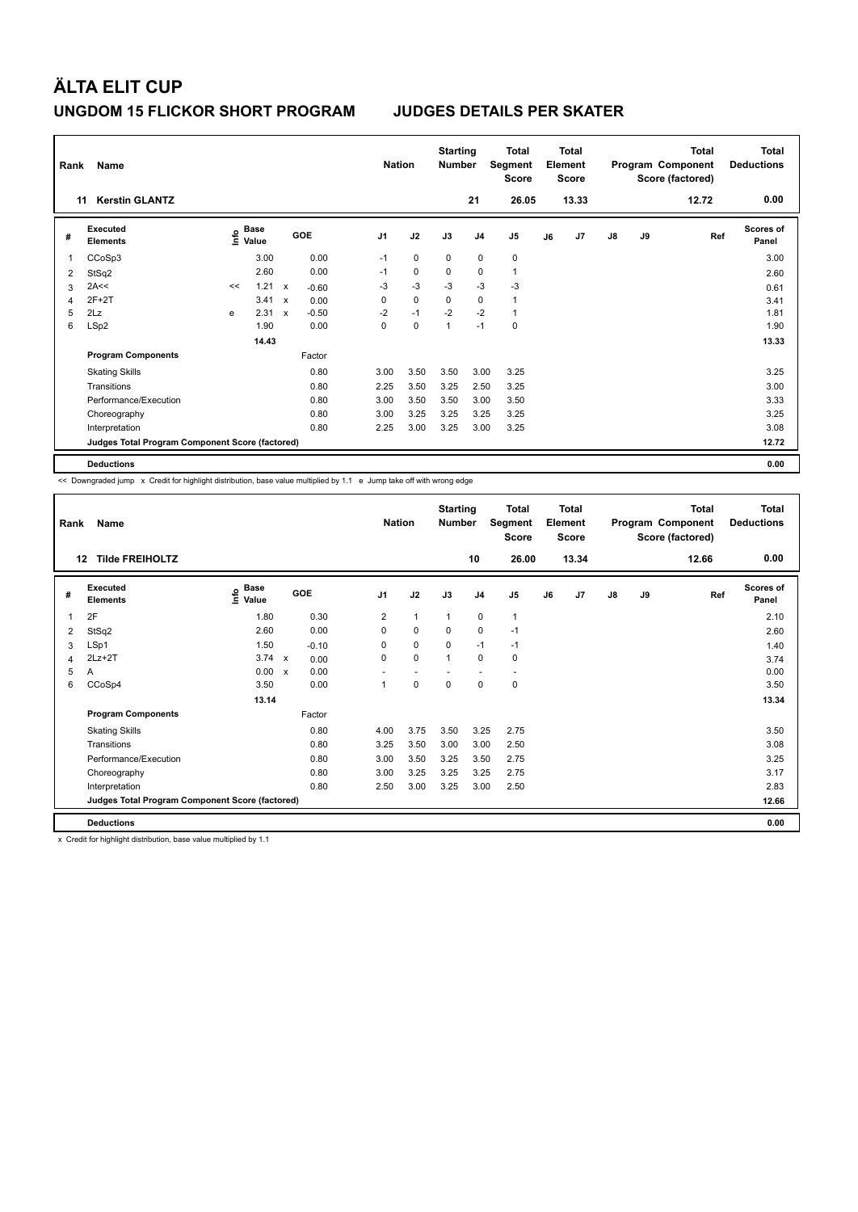|   | Name<br>Rank<br><b>Kerstin GLANTZ</b><br>11     |                         |                      |              |            | <b>Nation</b>  |             | <b>Starting</b><br><b>Number</b> |                | <b>Total</b><br>Segment<br><b>Score</b> |    | <b>Total</b><br>Element<br><b>Score</b> |               |    | <b>Total</b><br>Program Component<br>Score (factored) | Total<br><b>Deductions</b> |
|---|-------------------------------------------------|-------------------------|----------------------|--------------|------------|----------------|-------------|----------------------------------|----------------|-----------------------------------------|----|-----------------------------------------|---------------|----|-------------------------------------------------------|----------------------------|
|   |                                                 |                         |                      |              |            |                |             |                                  | 21             | 26.05                                   |    | 13.33                                   |               |    | 12.72                                                 | 0.00                       |
| # | Executed<br><b>Elements</b>                     | $\mathsf{f}^\mathsf{o}$ | <b>Base</b><br>Value |              | <b>GOE</b> | J <sub>1</sub> | J2          | J3                               | J <sub>4</sub> | J <sub>5</sub>                          | J6 | J7                                      | $\mathsf{J}8$ | J9 | Ref                                                   | Scores of<br>Panel         |
|   | CCoSp3                                          |                         | 3.00                 |              | 0.00       | $-1$           | $\mathbf 0$ | $\Omega$                         | $\Omega$       | $\mathbf 0$                             |    |                                         |               |    |                                                       | 3.00                       |
| 2 | StSq2                                           |                         | 2.60                 |              | 0.00       | $-1$           | $\mathbf 0$ | $\Omega$                         | 0              | $\mathbf{1}$                            |    |                                         |               |    |                                                       | 2.60                       |
| 3 | 2A<<                                            | <<                      | 1.21                 | $\mathbf{x}$ | $-0.60$    | $-3$           | $-3$        | $-3$                             | $-3$           | $-3$                                    |    |                                         |               |    |                                                       | 0.61                       |
| 4 | $2F+2T$                                         |                         | 3.41                 | $\mathsf{x}$ | 0.00       | $\mathbf 0$    | $\mathbf 0$ | $\Omega$                         | 0              | $\overline{1}$                          |    |                                         |               |    |                                                       | 3.41                       |
| 5 | 2Lz                                             | e                       | 2.31                 | $\mathsf{x}$ | $-0.50$    | $-2$           | $-1$        | $-2$                             | $-2$           | $\overline{1}$                          |    |                                         |               |    |                                                       | 1.81                       |
| 6 | LSp2                                            |                         | 1.90                 |              | 0.00       | $\mathbf 0$    | $\mathbf 0$ | $\mathbf{1}$                     | $-1$           | $\mathbf 0$                             |    |                                         |               |    |                                                       | 1.90                       |
|   |                                                 |                         | 14.43                |              |            |                |             |                                  |                |                                         |    |                                         |               |    |                                                       | 13.33                      |
|   | <b>Program Components</b>                       |                         |                      |              | Factor     |                |             |                                  |                |                                         |    |                                         |               |    |                                                       |                            |
|   | <b>Skating Skills</b>                           |                         |                      |              | 0.80       | 3.00           | 3.50        | 3.50                             | 3.00           | 3.25                                    |    |                                         |               |    |                                                       | 3.25                       |
|   | Transitions                                     |                         |                      |              | 0.80       | 2.25           | 3.50        | 3.25                             | 2.50           | 3.25                                    |    |                                         |               |    |                                                       | 3.00                       |
|   | Performance/Execution                           |                         |                      |              | 0.80       | 3.00           | 3.50        | 3.50                             | 3.00           | 3.50                                    |    |                                         |               |    |                                                       | 3.33                       |
|   | Choreography                                    |                         |                      |              | 0.80       | 3.00           | 3.25        | 3.25                             | 3.25           | 3.25                                    |    |                                         |               |    |                                                       | 3.25                       |
|   | Interpretation                                  |                         |                      |              | 0.80       | 2.25           | 3.00        | 3.25                             | 3.00           | 3.25                                    |    |                                         |               |    |                                                       | 3.08                       |
|   | Judges Total Program Component Score (factored) |                         |                      |              |            |                |             |                                  |                |                                         |    |                                         |               |    |                                                       | 12.72                      |
|   | <b>Deductions</b>                               |                         |                      |              |            |                |             |                                  |                |                                         |    |                                         |               |    |                                                       | 0.00                       |

<< Downgraded jump x Credit for highlight distribution, base value multiplied by 1.1 e Jump take off with wrong edge

| Rank | Name<br><b>Tilde FREIHOLTZ</b><br>12            |                                  |                                   | <b>Nation</b>  |              | <b>Starting</b><br><b>Number</b> | 10                       | <b>Total</b><br>Segment<br><b>Score</b><br>26.00 |    | <b>Total</b><br>Element<br><b>Score</b><br>13.34 |               |    | <b>Total</b><br>Program Component<br>Score (factored)<br>12.66 | <b>Total</b><br><b>Deductions</b><br>0.00 |
|------|-------------------------------------------------|----------------------------------|-----------------------------------|----------------|--------------|----------------------------------|--------------------------|--------------------------------------------------|----|--------------------------------------------------|---------------|----|----------------------------------------------------------------|-------------------------------------------|
| #    | Executed<br><b>Elements</b>                     | <b>Base</b><br>e Base<br>E Value | GOE                               | J <sub>1</sub> | J2           | J3                               | J <sub>4</sub>           | J5                                               | J6 | J <sub>7</sub>                                   | $\mathsf{J}8$ | J9 | Ref                                                            | Scores of<br>Panel                        |
| 1    | 2F                                              | 1.80                             | 0.30                              | $\overline{2}$ | $\mathbf{1}$ | $\mathbf{1}$                     | $\mathbf 0$              | $\mathbf{1}$                                     |    |                                                  |               |    |                                                                | 2.10                                      |
| 2    | StSq2                                           | 2.60                             | 0.00                              | 0              | $\mathbf 0$  | 0                                | $\mathbf 0$              | $-1$                                             |    |                                                  |               |    |                                                                | 2.60                                      |
| 3    | LSp1                                            | 1.50                             | $-0.10$                           | 0              | $\mathbf 0$  | $\mathbf 0$                      | $-1$                     | $-1$                                             |    |                                                  |               |    |                                                                | 1.40                                      |
| 4    | $2Lz+2T$                                        | 3.74                             | $\mathsf{x}$<br>0.00              | 0              | $\mathbf 0$  | $\mathbf{1}$                     | $\mathbf 0$              | $\mathbf 0$                                      |    |                                                  |               |    |                                                                | 3.74                                      |
| 5    | A                                               | 0.00                             | 0.00<br>$\boldsymbol{\mathsf{x}}$ |                | ٠            |                                  | $\overline{\phantom{a}}$ | $\overline{\phantom{a}}$                         |    |                                                  |               |    |                                                                | 0.00                                      |
| 6    | CCoSp4                                          | 3.50                             | 0.00                              | 1              | $\pmb{0}$    | $\mathbf 0$                      | $\pmb{0}$                | $\pmb{0}$                                        |    |                                                  |               |    |                                                                | 3.50                                      |
|      |                                                 | 13.14                            |                                   |                |              |                                  |                          |                                                  |    |                                                  |               |    |                                                                | 13.34                                     |
|      | <b>Program Components</b>                       |                                  | Factor                            |                |              |                                  |                          |                                                  |    |                                                  |               |    |                                                                |                                           |
|      | <b>Skating Skills</b>                           |                                  | 0.80                              | 4.00           | 3.75         | 3.50                             | 3.25                     | 2.75                                             |    |                                                  |               |    |                                                                | 3.50                                      |
|      | Transitions                                     |                                  | 0.80                              | 3.25           | 3.50         | 3.00                             | 3.00                     | 2.50                                             |    |                                                  |               |    |                                                                | 3.08                                      |
|      | Performance/Execution                           |                                  | 0.80                              | 3.00           | 3.50         | 3.25                             | 3.50                     | 2.75                                             |    |                                                  |               |    |                                                                | 3.25                                      |
|      | Choreography                                    |                                  | 0.80                              | 3.00           | 3.25         | 3.25                             | 3.25                     | 2.75                                             |    |                                                  |               |    |                                                                | 3.17                                      |
|      | Interpretation                                  |                                  | 0.80                              | 2.50           | 3.00         | 3.25                             | 3.00                     | 2.50                                             |    |                                                  |               |    |                                                                | 2.83                                      |
|      | Judges Total Program Component Score (factored) |                                  |                                   |                |              |                                  |                          |                                                  |    |                                                  |               |    |                                                                | 12.66                                     |
|      | <b>Deductions</b>                               |                                  |                                   |                |              |                                  |                          |                                                  |    |                                                  |               |    |                                                                | 0.00                                      |

x Credit for highlight distribution, base value multiplied by 1.1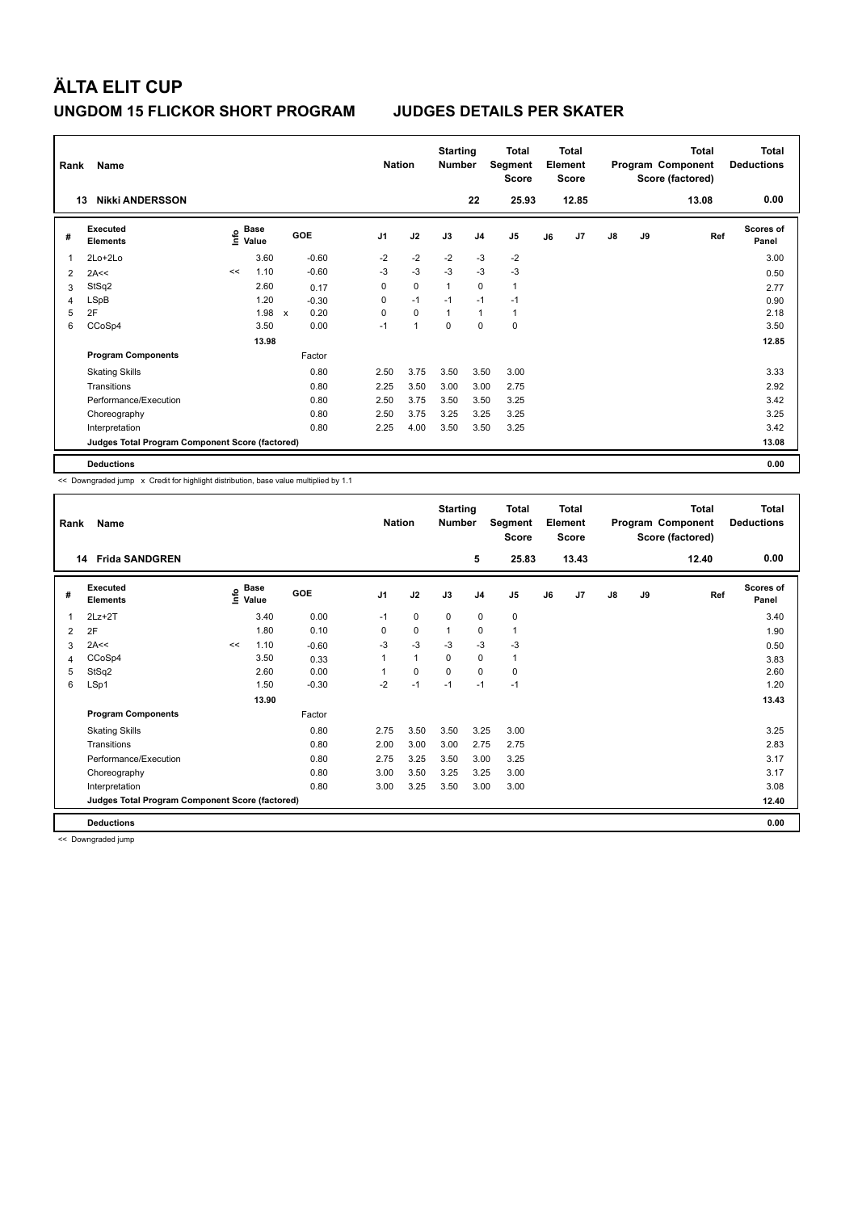| Rank | Name<br><b>Nikki ANDERSSON</b><br>13            |                       |       |                                   |                | <b>Nation</b>  | <b>Starting</b><br>Number |                | <b>Total</b><br>Segment<br><b>Score</b> |    | <b>Total</b><br>Element<br><b>Score</b> |               |    | <b>Total</b><br>Program Component<br>Score (factored) | <b>Total</b><br><b>Deductions</b> |
|------|-------------------------------------------------|-----------------------|-------|-----------------------------------|----------------|----------------|---------------------------|----------------|-----------------------------------------|----|-----------------------------------------|---------------|----|-------------------------------------------------------|-----------------------------------|
|      |                                                 |                       |       |                                   |                |                |                           | 22             | 25.93                                   |    | 12.85                                   |               |    | 13.08                                                 | 0.00                              |
| #    | Executed<br><b>Elements</b>                     | Base<br>lnfo<br>Value |       | GOE                               | J <sub>1</sub> | J2             | J3                        | J <sub>4</sub> | J5                                      | J6 | J7                                      | $\mathsf{J}8$ | J9 | Ref                                                   | <b>Scores of</b><br>Panel         |
| 1    | $2Lo+2Lo$                                       |                       | 3.60  | $-0.60$                           | $-2$           | $-2$           | $-2$                      | $-3$           | $-2$                                    |    |                                         |               |    |                                                       | 3.00                              |
| 2    | 2A<<                                            | <<                    | 1.10  | $-0.60$                           | $-3$           | $-3$           | $-3$                      | $-3$           | $-3$                                    |    |                                         |               |    |                                                       | 0.50                              |
| 3    | StSq2                                           |                       | 2.60  | 0.17                              | 0              | $\mathbf 0$    | $\mathbf{1}$              | $\mathbf 0$    | $\mathbf{1}$                            |    |                                         |               |    |                                                       | 2.77                              |
| 4    | <b>LSpB</b>                                     |                       | 1.20  | $-0.30$                           | 0              | $-1$           | $-1$                      | $-1$           | $-1$                                    |    |                                         |               |    |                                                       | 0.90                              |
| 5    | 2F                                              |                       | 1.98  | 0.20<br>$\boldsymbol{\mathsf{x}}$ | 0              | $\mathbf 0$    | $\overline{1}$            | $\mathbf{1}$   | 1                                       |    |                                         |               |    |                                                       | 2.18                              |
| 6    | CCoSp4                                          |                       | 3.50  | 0.00                              | $-1$           | $\overline{1}$ | $\mathbf 0$               | $\mathbf 0$    | $\mathbf 0$                             |    |                                         |               |    |                                                       | 3.50                              |
|      |                                                 |                       | 13.98 |                                   |                |                |                           |                |                                         |    |                                         |               |    |                                                       | 12.85                             |
|      | <b>Program Components</b>                       |                       |       | Factor                            |                |                |                           |                |                                         |    |                                         |               |    |                                                       |                                   |
|      | <b>Skating Skills</b>                           |                       |       | 0.80                              | 2.50           | 3.75           | 3.50                      | 3.50           | 3.00                                    |    |                                         |               |    |                                                       | 3.33                              |
|      | Transitions                                     |                       |       | 0.80                              | 2.25           | 3.50           | 3.00                      | 3.00           | 2.75                                    |    |                                         |               |    |                                                       | 2.92                              |
|      | Performance/Execution                           |                       |       | 0.80                              | 2.50           | 3.75           | 3.50                      | 3.50           | 3.25                                    |    |                                         |               |    |                                                       | 3.42                              |
|      | Choreography                                    |                       |       | 0.80                              | 2.50           | 3.75           | 3.25                      | 3.25           | 3.25                                    |    |                                         |               |    |                                                       | 3.25                              |
|      | Interpretation                                  |                       |       | 0.80                              | 2.25           | 4.00           | 3.50                      | 3.50           | 3.25                                    |    |                                         |               |    |                                                       | 3.42                              |
|      | Judges Total Program Component Score (factored) |                       |       |                                   |                |                |                           |                |                                         |    |                                         |               |    |                                                       | 13.08                             |
|      | <b>Deductions</b>                               |                       |       |                                   |                |                |                           |                |                                         |    |                                         |               |    |                                                       | 0.00                              |

<< Downgraded jump x Credit for highlight distribution, base value multiplied by 1.1

| Rank | Name                                            |                       |       |            | <b>Nation</b>  |              | <b>Starting</b><br><b>Number</b> |                | Total<br>Segment<br><b>Score</b> |    | <b>Total</b><br>Element<br><b>Score</b> |               |    | <b>Total</b><br>Program Component<br>Score (factored) | <b>Total</b><br><b>Deductions</b> |
|------|-------------------------------------------------|-----------------------|-------|------------|----------------|--------------|----------------------------------|----------------|----------------------------------|----|-----------------------------------------|---------------|----|-------------------------------------------------------|-----------------------------------|
| 14   | <b>Frida SANDGREN</b>                           |                       |       |            |                |              |                                  | 5              | 25.83                            |    | 13.43                                   |               |    | 12.40                                                 | 0.00                              |
| #    | Executed<br><b>Elements</b>                     | $\sum_{i=1}^{6}$ Pase |       | <b>GOE</b> | J <sub>1</sub> | J2           | J3                               | J <sub>4</sub> | J5                               | J6 | J7                                      | $\mathsf{J}8$ | J9 | Ref                                                   | <b>Scores of</b><br>Panel         |
| 1    | $2Lz+2T$                                        |                       | 3.40  | 0.00       | $-1$           | 0            | 0                                | 0              | 0                                |    |                                         |               |    |                                                       | 3.40                              |
| 2    | 2F                                              |                       | 1.80  | 0.10       | 0              | 0            | 1                                | 0              | 1                                |    |                                         |               |    |                                                       | 1.90                              |
| 3    | 2A<<                                            | <<                    | 1.10  | $-0.60$    | $-3$           | $-3$         | $-3$                             | $-3$           | $-3$                             |    |                                         |               |    |                                                       | 0.50                              |
| 4    | CCoSp4                                          |                       | 3.50  | 0.33       |                | $\mathbf{1}$ | 0                                | $\mathbf 0$    | 1                                |    |                                         |               |    |                                                       | 3.83                              |
| 5    | StSq2                                           |                       | 2.60  | 0.00       |                | $\mathbf 0$  | $\Omega$                         | $\Omega$       | 0                                |    |                                         |               |    |                                                       | 2.60                              |
| 6    | LSp1                                            |                       | 1.50  | $-0.30$    | $-2$           | $-1$         | $-1$                             | $-1$           | $-1$                             |    |                                         |               |    |                                                       | 1.20                              |
|      |                                                 |                       | 13.90 |            |                |              |                                  |                |                                  |    |                                         |               |    |                                                       | 13.43                             |
|      | <b>Program Components</b>                       |                       |       | Factor     |                |              |                                  |                |                                  |    |                                         |               |    |                                                       |                                   |
|      | <b>Skating Skills</b>                           |                       |       | 0.80       | 2.75           | 3.50         | 3.50                             | 3.25           | 3.00                             |    |                                         |               |    |                                                       | 3.25                              |
|      | Transitions                                     |                       |       | 0.80       | 2.00           | 3.00         | 3.00                             | 2.75           | 2.75                             |    |                                         |               |    |                                                       | 2.83                              |
|      | Performance/Execution                           |                       |       | 0.80       | 2.75           | 3.25         | 3.50                             | 3.00           | 3.25                             |    |                                         |               |    |                                                       | 3.17                              |
|      | Choreography                                    |                       |       | 0.80       | 3.00           | 3.50         | 3.25                             | 3.25           | 3.00                             |    |                                         |               |    |                                                       | 3.17                              |
|      | Interpretation                                  |                       |       | 0.80       | 3.00           | 3.25         | 3.50                             | 3.00           | 3.00                             |    |                                         |               |    |                                                       | 3.08                              |
|      | Judges Total Program Component Score (factored) |                       |       |            |                |              |                                  |                |                                  |    |                                         |               |    |                                                       | 12.40                             |
|      | <b>Deductions</b>                               |                       |       |            |                |              |                                  |                |                                  |    |                                         |               |    |                                                       | 0.00                              |

<< Downgraded jump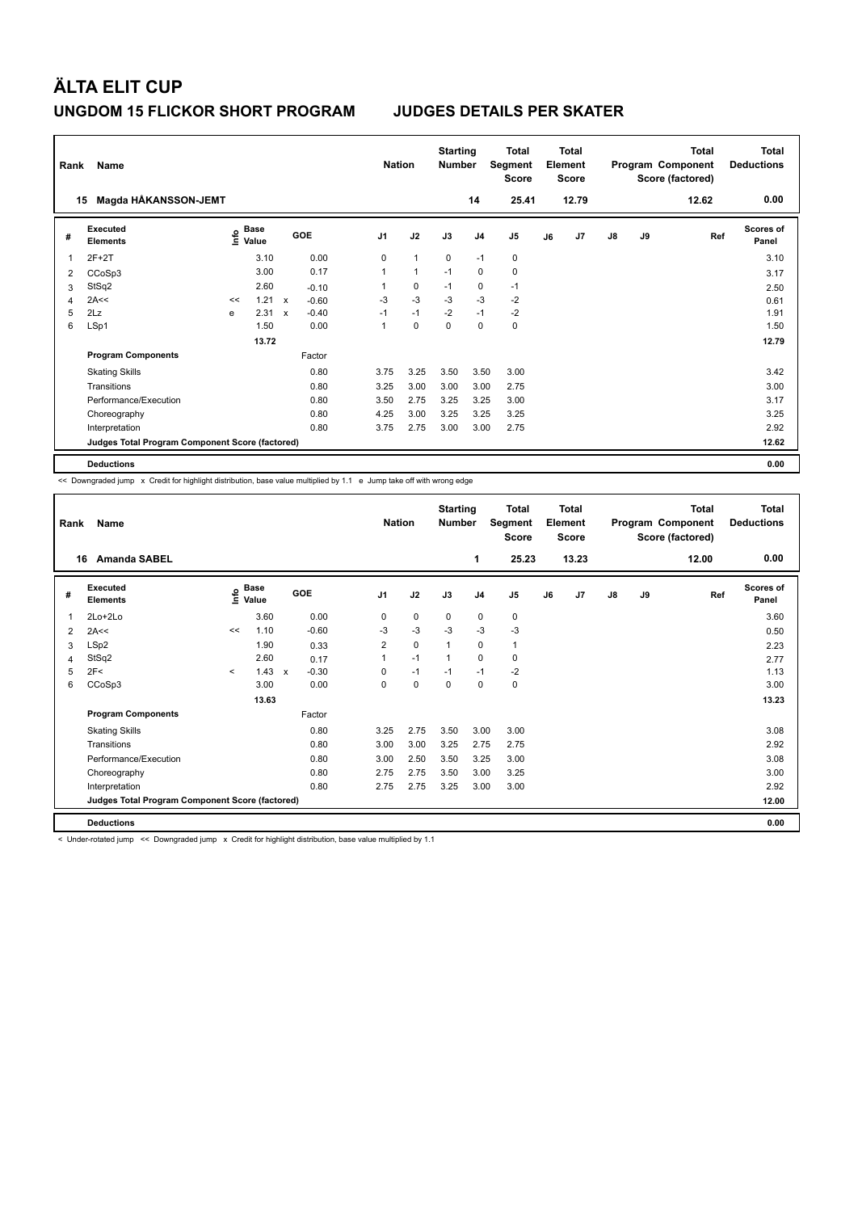| Rank | Name                                            |      |                      |              |            |                | <b>Nation</b> | <b>Starting</b><br><b>Number</b> |          | <b>Total</b><br>Segment<br><b>Score</b> |    | <b>Total</b><br>Element<br><b>Score</b> |               |    | <b>Total</b><br>Program Component<br>Score (factored) | Total<br><b>Deductions</b> |
|------|-------------------------------------------------|------|----------------------|--------------|------------|----------------|---------------|----------------------------------|----------|-----------------------------------------|----|-----------------------------------------|---------------|----|-------------------------------------------------------|----------------------------|
|      | Magda HÅKANSSON-JEMT<br>15                      |      |                      |              |            |                |               |                                  | 14       | 25.41                                   |    | 12.79                                   |               |    | 12.62                                                 | 0.00                       |
| #    | Executed<br><b>Elements</b>                     | ١nfo | <b>Base</b><br>Value |              | <b>GOE</b> | J <sub>1</sub> | J2            | J3                               | J4       | J5                                      | J6 | J7                                      | $\mathsf{J}8$ | J9 | Ref                                                   | <b>Scores of</b><br>Panel  |
|      | $2F+2T$                                         |      | 3.10                 |              | 0.00       | 0              | $\mathbf{1}$  | $\mathbf{0}$                     | $-1$     | $\mathbf 0$                             |    |                                         |               |    |                                                       | 3.10                       |
| 2    | CCoSp3                                          |      | 3.00                 |              | 0.17       | $\mathbf{1}$   | $\mathbf{1}$  | $-1$                             | $\Omega$ | $\mathbf 0$                             |    |                                         |               |    |                                                       | 3.17                       |
| 3    | StSq2                                           |      | 2.60                 |              | $-0.10$    |                | $\mathbf 0$   | $-1$                             | 0        | $-1$                                    |    |                                         |               |    |                                                       | 2.50                       |
|      | 2A<<                                            | <<   | 1.21                 | $\mathbf{x}$ | $-0.60$    | $-3$           | $-3$          | $-3$                             | $-3$     | $-2$                                    |    |                                         |               |    |                                                       | 0.61                       |
| 5    | 2Lz                                             | e    | 2.31                 | $\mathsf{x}$ | $-0.40$    | $-1$           | $-1$          | $-2$                             | $-1$     | $-2$                                    |    |                                         |               |    |                                                       | 1.91                       |
| 6    | LSp1                                            |      | 1.50                 |              | 0.00       | $\mathbf{1}$   | $\mathbf 0$   | $\Omega$                         | $\Omega$ | $\mathbf 0$                             |    |                                         |               |    |                                                       | 1.50                       |
|      |                                                 |      | 13.72                |              |            |                |               |                                  |          |                                         |    |                                         |               |    |                                                       | 12.79                      |
|      | <b>Program Components</b>                       |      |                      |              | Factor     |                |               |                                  |          |                                         |    |                                         |               |    |                                                       |                            |
|      | <b>Skating Skills</b>                           |      |                      |              | 0.80       | 3.75           | 3.25          | 3.50                             | 3.50     | 3.00                                    |    |                                         |               |    |                                                       | 3.42                       |
|      | Transitions                                     |      |                      |              | 0.80       | 3.25           | 3.00          | 3.00                             | 3.00     | 2.75                                    |    |                                         |               |    |                                                       | 3.00                       |
|      | Performance/Execution                           |      |                      |              | 0.80       | 3.50           | 2.75          | 3.25                             | 3.25     | 3.00                                    |    |                                         |               |    |                                                       | 3.17                       |
|      | Choreography                                    |      |                      |              | 0.80       | 4.25           | 3.00          | 3.25                             | 3.25     | 3.25                                    |    |                                         |               |    |                                                       | 3.25                       |
|      | Interpretation                                  |      |                      |              | 0.80       | 3.75           | 2.75          | 3.00                             | 3.00     | 2.75                                    |    |                                         |               |    |                                                       | 2.92                       |
|      | Judges Total Program Component Score (factored) |      |                      |              |            |                |               |                                  |          |                                         |    |                                         |               |    |                                                       | 12.62                      |
|      | <b>Deductions</b>                               |      |                      |              |            |                |               |                                  |          |                                         |    |                                         |               |    |                                                       | 0.00                       |

<< Downgraded jump x Credit for highlight distribution, base value multiplied by 1.1 e Jump take off with wrong edge

| Rank | Name<br><b>Amanda SABEL</b>                     |         |                      |                         | <b>Nation</b>  |             | <b>Starting</b><br><b>Number</b> |                | Total<br>Segment<br><b>Score</b> |    | <b>Total</b><br>Element<br><b>Score</b> |               |           | <b>Total</b><br>Program Component<br>Score (factored) | <b>Total</b><br><b>Deductions</b><br>0.00 |
|------|-------------------------------------------------|---------|----------------------|-------------------------|----------------|-------------|----------------------------------|----------------|----------------------------------|----|-----------------------------------------|---------------|-----------|-------------------------------------------------------|-------------------------------------------|
| 16   |                                                 |         |                      |                         |                |             |                                  | 1              | 25.23                            |    | 13.23                                   |               |           | 12.00                                                 |                                           |
| #    | Executed<br><b>Elements</b>                     | ١m      | <b>Base</b><br>Value | GOE                     | J <sub>1</sub> | J2          | J3                               | J <sub>4</sub> | J5                               | J6 | J7                                      | $\mathsf{J}8$ | <b>J9</b> | Ref                                                   | <b>Scores of</b><br>Panel                 |
|      | $2Lo+2Lo$                                       |         | 3.60                 | 0.00                    | 0              | $\mathbf 0$ | $\mathbf 0$                      | $\pmb{0}$      | $\mathbf 0$                      |    |                                         |               |           |                                                       | 3.60                                      |
| 2    | 2A<<                                            | <<      | 1.10                 | $-0.60$                 | -3             | $-3$        | $-3$                             | $-3$           | $-3$                             |    |                                         |               |           |                                                       | 0.50                                      |
| 3    | LSp2                                            |         | 1.90                 | 0.33                    | $\overline{2}$ | $\mathbf 0$ | $\mathbf{1}$                     | $\mathbf 0$    | 1                                |    |                                         |               |           |                                                       | 2.23                                      |
| 4    | StSq2                                           |         | 2.60                 | 0.17                    |                | $-1$        | $\mathbf{1}$                     | $\mathbf 0$    | $\mathbf 0$                      |    |                                         |               |           |                                                       | 2.77                                      |
| 5    | 2F<                                             | $\prec$ | 1.43                 | $-0.30$<br>$\mathbf{x}$ | 0              | $-1$        | $-1$                             | $-1$           | $-2$                             |    |                                         |               |           |                                                       | 1.13                                      |
| 6    | CCoSp3                                          |         | 3.00                 | 0.00                    | 0              | $\mathbf 0$ | 0                                | $\mathbf 0$    | $\mathbf 0$                      |    |                                         |               |           |                                                       | 3.00                                      |
|      |                                                 |         | 13.63                |                         |                |             |                                  |                |                                  |    |                                         |               |           |                                                       | 13.23                                     |
|      | <b>Program Components</b>                       |         |                      | Factor                  |                |             |                                  |                |                                  |    |                                         |               |           |                                                       |                                           |
|      | <b>Skating Skills</b>                           |         |                      | 0.80                    | 3.25           | 2.75        | 3.50                             | 3.00           | 3.00                             |    |                                         |               |           |                                                       | 3.08                                      |
|      | Transitions                                     |         |                      | 0.80                    | 3.00           | 3.00        | 3.25                             | 2.75           | 2.75                             |    |                                         |               |           |                                                       | 2.92                                      |
|      | Performance/Execution                           |         |                      | 0.80                    | 3.00           | 2.50        | 3.50                             | 3.25           | 3.00                             |    |                                         |               |           |                                                       | 3.08                                      |
|      | Choreography                                    |         |                      | 0.80                    | 2.75           | 2.75        | 3.50                             | 3.00           | 3.25                             |    |                                         |               |           |                                                       | 3.00                                      |
|      | Interpretation                                  |         |                      | 0.80                    | 2.75           | 2.75        | 3.25                             | 3.00           | 3.00                             |    |                                         |               |           |                                                       | 2.92                                      |
|      | Judges Total Program Component Score (factored) |         |                      |                         |                |             |                                  |                |                                  |    |                                         |               |           |                                                       | 12.00                                     |
|      | <b>Deductions</b>                               |         |                      |                         |                |             |                                  |                |                                  |    |                                         |               |           |                                                       | 0.00                                      |

< Under-rotated jump << Downgraded jump x Credit for highlight distribution, base value multiplied by 1.1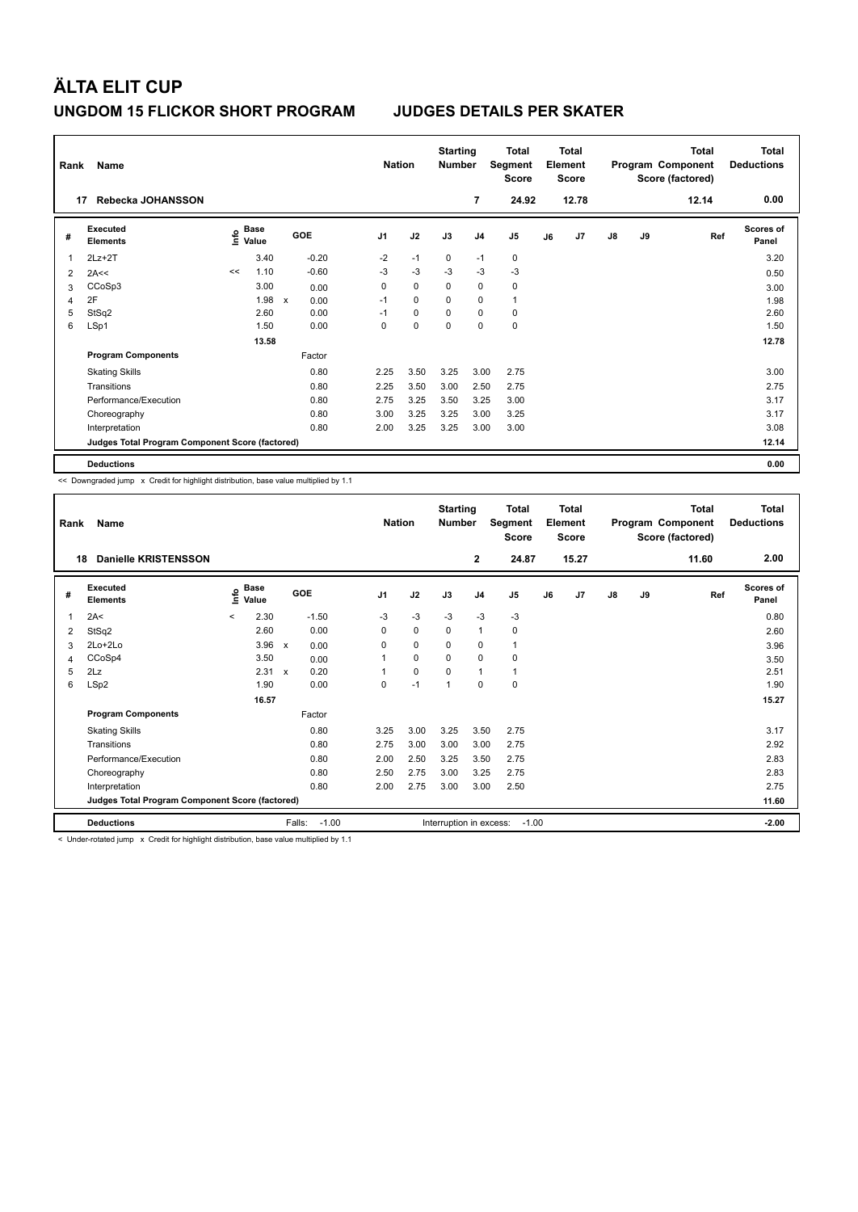| Rank | Name                                            |      |               |                           |         |                | <b>Nation</b> | <b>Starting</b><br><b>Number</b> |                | Total<br>Segment<br><b>Score</b> |    | <b>Total</b><br>Element<br><b>Score</b> |               |    | <b>Total</b><br>Program Component<br>Score (factored) | Total<br><b>Deductions</b> |
|------|-------------------------------------------------|------|---------------|---------------------------|---------|----------------|---------------|----------------------------------|----------------|----------------------------------|----|-----------------------------------------|---------------|----|-------------------------------------------------------|----------------------------|
|      | Rebecka JOHANSSON<br>17                         |      |               |                           |         |                |               |                                  | 7              | 24.92                            |    | 12.78                                   |               |    | 12.14                                                 | 0.00                       |
| #    | Executed<br><b>Elements</b>                     | lnfo | Base<br>Value |                           | GOE     | J <sub>1</sub> | J2            | J3                               | J <sub>4</sub> | J5                               | J6 | J7                                      | $\mathsf{J}8$ | J9 | Ref                                                   | <b>Scores of</b><br>Panel  |
| 1    | $2Lz+2T$                                        |      | 3.40          |                           | $-0.20$ | $-2$           | $-1$          | 0                                | $-1$           | 0                                |    |                                         |               |    |                                                       | 3.20                       |
| 2    | 2A<<                                            | <<   | 1.10          |                           | $-0.60$ | $-3$           | $-3$          | $-3$                             | $-3$           | $-3$                             |    |                                         |               |    |                                                       | 0.50                       |
| 3    | CCoSp3                                          |      | 3.00          |                           | 0.00    | 0              | 0             | 0                                | 0              | 0                                |    |                                         |               |    |                                                       | 3.00                       |
| 4    | 2F                                              |      | 1.98          | $\boldsymbol{\mathsf{x}}$ | 0.00    | $-1$           | $\Omega$      | $\Omega$                         | 0              | 1                                |    |                                         |               |    |                                                       | 1.98                       |
| 5    | StSq2                                           |      | 2.60          |                           | 0.00    | $-1$           | $\mathbf 0$   | $\Omega$                         | $\mathbf 0$    | $\mathbf 0$                      |    |                                         |               |    |                                                       | 2.60                       |
| 6    | LSp1                                            |      | 1.50          |                           | 0.00    | 0              | $\mathbf 0$   | 0                                | 0              | $\mathbf 0$                      |    |                                         |               |    |                                                       | 1.50                       |
|      |                                                 |      | 13.58         |                           |         |                |               |                                  |                |                                  |    |                                         |               |    |                                                       | 12.78                      |
|      | <b>Program Components</b>                       |      |               |                           | Factor  |                |               |                                  |                |                                  |    |                                         |               |    |                                                       |                            |
|      | <b>Skating Skills</b>                           |      |               |                           | 0.80    | 2.25           | 3.50          | 3.25                             | 3.00           | 2.75                             |    |                                         |               |    |                                                       | 3.00                       |
|      | Transitions                                     |      |               |                           | 0.80    | 2.25           | 3.50          | 3.00                             | 2.50           | 2.75                             |    |                                         |               |    |                                                       | 2.75                       |
|      | Performance/Execution                           |      |               |                           | 0.80    | 2.75           | 3.25          | 3.50                             | 3.25           | 3.00                             |    |                                         |               |    |                                                       | 3.17                       |
|      | Choreography                                    |      |               |                           | 0.80    | 3.00           | 3.25          | 3.25                             | 3.00           | 3.25                             |    |                                         |               |    |                                                       | 3.17                       |
|      | Interpretation                                  |      |               |                           | 0.80    | 2.00           | 3.25          | 3.25                             | 3.00           | 3.00                             |    |                                         |               |    |                                                       | 3.08                       |
|      | Judges Total Program Component Score (factored) |      |               |                           |         |                |               |                                  |                |                                  |    |                                         |               |    |                                                       | 12.14                      |
|      | <b>Deductions</b>                               |      |               |                           |         |                |               |                                  |                |                                  |    |                                         |               |    |                                                       | 0.00                       |

<< Downgraded jump x Credit for highlight distribution, base value multiplied by 1.1

| Rank<br>18 | Name<br><b>Danielle KRISTENSSON</b>             |                |                      |              |         | <b>Nation</b>  |             | <b>Starting</b><br><b>Number</b> | $\mathbf{2}$   | Total<br>Segment<br><b>Score</b><br>24.87 |    | <b>Total</b><br>Element<br><b>Score</b><br>15.27 |               |    | <b>Total</b><br>Program Component<br>Score (factored)<br>11.60 | <b>Total</b><br><b>Deductions</b><br>2.00 |
|------------|-------------------------------------------------|----------------|----------------------|--------------|---------|----------------|-------------|----------------------------------|----------------|-------------------------------------------|----|--------------------------------------------------|---------------|----|----------------------------------------------------------------|-------------------------------------------|
|            |                                                 |                |                      |              |         |                |             |                                  |                |                                           |    |                                                  |               |    |                                                                |                                           |
| #          | Executed<br><b>Elements</b>                     | $\bullet$<br>Έ | <b>Base</b><br>Value | GOE          |         | J <sub>1</sub> | J2          | J3                               | J <sub>4</sub> | J <sub>5</sub>                            | J6 | J7                                               | $\mathsf{J}8$ | J9 | Ref                                                            | <b>Scores of</b><br>Panel                 |
| 1          | 2A<                                             | $\prec$        | 2.30                 |              | $-1.50$ | $-3$           | $-3$        | $-3$                             | $-3$           | $-3$                                      |    |                                                  |               |    |                                                                | 0.80                                      |
| 2          | StSq2                                           |                | 2.60                 |              | 0.00    | 0              | $\mathbf 0$ | 0                                | $\mathbf{1}$   | 0                                         |    |                                                  |               |    |                                                                | 2.60                                      |
| 3          | $2Lo+2Lo$                                       |                | 3.96                 | $\mathsf{x}$ | 0.00    | 0              | 0           | 0                                | 0              | 1                                         |    |                                                  |               |    |                                                                | 3.96                                      |
| 4          | CCoSp4                                          |                | 3.50                 |              | 0.00    |                | $\mathbf 0$ | 0                                | $\mathbf 0$    | 0                                         |    |                                                  |               |    |                                                                | 3.50                                      |
| 5          | 2Lz                                             |                | 2.31 x               |              | 0.20    |                | $\mathbf 0$ | $\Omega$                         | 1              | 1                                         |    |                                                  |               |    |                                                                | 2.51                                      |
| 6          | LSp2                                            |                | 1.90                 |              | 0.00    | 0              | $-1$        | 1                                | 0              | 0                                         |    |                                                  |               |    |                                                                | 1.90                                      |
|            |                                                 |                | 16.57                |              |         |                |             |                                  |                |                                           |    |                                                  |               |    |                                                                | 15.27                                     |
|            | <b>Program Components</b>                       |                |                      |              | Factor  |                |             |                                  |                |                                           |    |                                                  |               |    |                                                                |                                           |
|            | <b>Skating Skills</b>                           |                |                      |              | 0.80    | 3.25           | 3.00        | 3.25                             | 3.50           | 2.75                                      |    |                                                  |               |    |                                                                | 3.17                                      |
|            | Transitions                                     |                |                      |              | 0.80    | 2.75           | 3.00        | 3.00                             | 3.00           | 2.75                                      |    |                                                  |               |    |                                                                | 2.92                                      |
|            | Performance/Execution                           |                |                      |              | 0.80    | 2.00           | 2.50        | 3.25                             | 3.50           | 2.75                                      |    |                                                  |               |    |                                                                | 2.83                                      |
|            | Choreography                                    |                |                      |              | 0.80    | 2.50           | 2.75        | 3.00                             | 3.25           | 2.75                                      |    |                                                  |               |    |                                                                | 2.83                                      |
|            | Interpretation                                  |                |                      |              | 0.80    | 2.00           | 2.75        | 3.00                             | 3.00           | 2.50                                      |    |                                                  |               |    |                                                                | 2.75                                      |
|            | Judges Total Program Component Score (factored) |                |                      |              |         |                |             |                                  |                |                                           |    |                                                  |               |    |                                                                | 11.60                                     |
|            | <b>Deductions</b>                               |                |                      | Falls:       | $-1.00$ |                |             | Interruption in excess:          |                | $-1.00$                                   |    |                                                  |               |    |                                                                | $-2.00$                                   |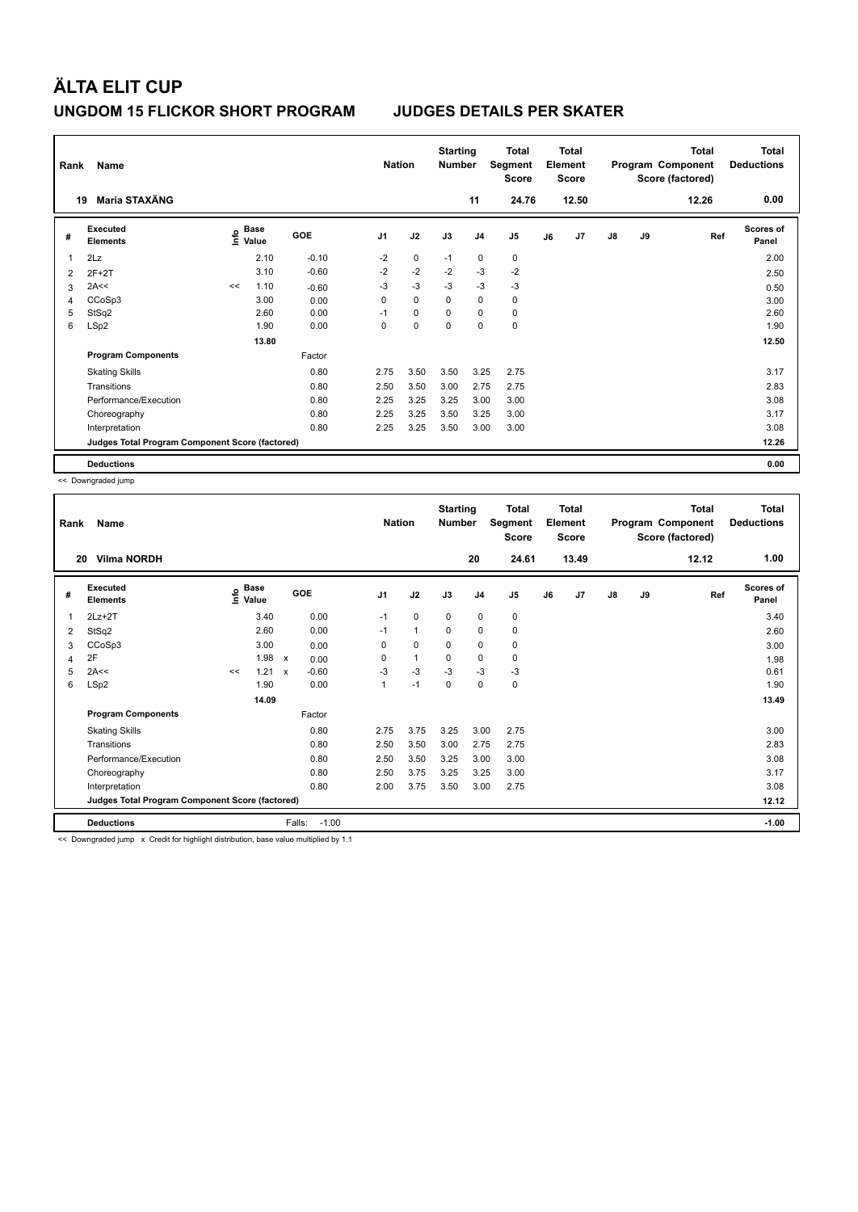| Rank | Name                                            |      |                      |         | <b>Nation</b>  |             | <b>Starting</b><br><b>Number</b> |                | Total<br>Segment<br><b>Score</b> |    | <b>Total</b><br>Element<br><b>Score</b> |               |    | <b>Total</b><br>Program Component<br>Score (factored) | <b>Total</b><br><b>Deductions</b> |
|------|-------------------------------------------------|------|----------------------|---------|----------------|-------------|----------------------------------|----------------|----------------------------------|----|-----------------------------------------|---------------|----|-------------------------------------------------------|-----------------------------------|
|      | Maria STAXÄNG<br>19                             |      |                      |         |                |             |                                  | 11             | 24.76                            |    | 12.50                                   |               |    | 12.26                                                 | 0.00                              |
| #    | Executed<br><b>Elements</b>                     | lnfo | <b>Base</b><br>Value | GOE     | J <sub>1</sub> | J2          | J3                               | J <sub>4</sub> | J <sub>5</sub>                   | J6 | J7                                      | $\mathsf{J}8$ | J9 | Ref                                                   | <b>Scores of</b><br>Panel         |
| 1    | 2Lz                                             |      | 2.10                 | $-0.10$ | $-2$           | 0           | $-1$                             | 0              | 0                                |    |                                         |               |    |                                                       | 2.00                              |
| 2    | $2F+2T$                                         |      | 3.10                 | $-0.60$ | $-2$           | $-2$        | $-2$                             | $-3$           | $-2$                             |    |                                         |               |    |                                                       | 2.50                              |
| 3    | 2A<<                                            | <<   | 1.10                 | $-0.60$ | -3             | $-3$        | -3                               | -3             | $-3$                             |    |                                         |               |    |                                                       | 0.50                              |
| 4    | CCoSp3                                          |      | 3.00                 | 0.00    | 0              | $\mathbf 0$ | $\Omega$                         | 0              | 0                                |    |                                         |               |    |                                                       | 3.00                              |
| 5    | StSq2                                           |      | 2.60                 | 0.00    | $-1$           | $\mathbf 0$ | $\mathbf 0$                      | $\mathbf 0$    | $\mathbf 0$                      |    |                                         |               |    |                                                       | 2.60                              |
| 6    | LSp2                                            |      | 1.90                 | 0.00    | 0              | $\mathbf 0$ | $\mathbf 0$                      | $\mathbf 0$    | $\mathbf 0$                      |    |                                         |               |    |                                                       | 1.90                              |
|      |                                                 |      | 13.80                |         |                |             |                                  |                |                                  |    |                                         |               |    |                                                       | 12.50                             |
|      | <b>Program Components</b>                       |      |                      | Factor  |                |             |                                  |                |                                  |    |                                         |               |    |                                                       |                                   |
|      | <b>Skating Skills</b>                           |      |                      | 0.80    | 2.75           | 3.50        | 3.50                             | 3.25           | 2.75                             |    |                                         |               |    |                                                       | 3.17                              |
|      | Transitions                                     |      |                      | 0.80    | 2.50           | 3.50        | 3.00                             | 2.75           | 2.75                             |    |                                         |               |    |                                                       | 2.83                              |
|      | Performance/Execution                           |      |                      | 0.80    | 2.25           | 3.25        | 3.25                             | 3.00           | 3.00                             |    |                                         |               |    |                                                       | 3.08                              |
|      | Choreography                                    |      |                      | 0.80    | 2.25           | 3.25        | 3.50                             | 3.25           | 3.00                             |    |                                         |               |    |                                                       | 3.17                              |
|      | Interpretation                                  |      |                      | 0.80    | 2.25           | 3.25        | 3.50                             | 3.00           | 3.00                             |    |                                         |               |    |                                                       | 3.08                              |
|      | Judges Total Program Component Score (factored) |      |                      |         |                |             |                                  |                |                                  |    |                                         |               |    |                                                       | 12.26                             |
|      | <b>Deductions</b>                               |      |                      |         |                |             |                                  |                |                                  |    |                                         |               |    |                                                       | 0.00                              |

<< Downgraded jump

| Rank | Name                                                                                                                   |    |                            |              |         | <b>Nation</b>  |              | <b>Starting</b><br><b>Number</b> |                | <b>Total</b><br>Segment<br><b>Score</b> |    | <b>Total</b><br>Element<br><b>Score</b> |               |    | <b>Total</b><br>Program Component<br>Score (factored) | <b>Total</b><br><b>Deductions</b> |
|------|------------------------------------------------------------------------------------------------------------------------|----|----------------------------|--------------|---------|----------------|--------------|----------------------------------|----------------|-----------------------------------------|----|-----------------------------------------|---------------|----|-------------------------------------------------------|-----------------------------------|
| 20   | <b>Vilma NORDH</b>                                                                                                     |    |                            |              |         |                |              |                                  | 20             | 24.61                                   |    | 13.49                                   |               |    | 12.12                                                 | 1.00                              |
| #    | Executed<br><b>Elements</b>                                                                                            |    | e Base<br>E Value<br>Value |              | GOE     | J <sub>1</sub> | J2           | J3                               | J <sub>4</sub> | J <sub>5</sub>                          | J6 | J7                                      | $\mathsf{J}8$ | J9 | Ref                                                   | <b>Scores of</b><br>Panel         |
| 1    | $2Lz+2T$                                                                                                               |    | 3.40                       |              | 0.00    | $-1$           | 0            | 0                                | $\mathbf 0$    | 0                                       |    |                                         |               |    |                                                       | 3.40                              |
| 2    | StSq2                                                                                                                  |    | 2.60                       |              | 0.00    | $-1$           | $\mathbf{1}$ | 0                                | 0              | 0                                       |    |                                         |               |    |                                                       | 2.60                              |
| 3    | CCoSp3                                                                                                                 |    | 3.00                       |              | 0.00    | 0              | 0            | 0                                | 0              | 0                                       |    |                                         |               |    |                                                       | 3.00                              |
| 4    | 2F                                                                                                                     |    | 1.98 x                     |              | 0.00    | 0              | $\mathbf{1}$ | $\Omega$                         | $\mathbf 0$    | 0                                       |    |                                         |               |    |                                                       | 1.98                              |
| 5    | 2A<<                                                                                                                   | << | 1.21                       | $\mathsf{x}$ | $-0.60$ | $-3$           | $-3$         | $-3$                             | $-3$           | $-3$                                    |    |                                         |               |    |                                                       | 0.61                              |
| 6    | LSp2                                                                                                                   |    | 1.90                       |              | 0.00    | 1              | $-1$         | $\Omega$                         | 0              | 0                                       |    |                                         |               |    |                                                       | 1.90                              |
|      |                                                                                                                        |    | 14.09                      |              |         |                |              |                                  |                |                                         |    |                                         |               |    |                                                       | 13.49                             |
|      | <b>Program Components</b>                                                                                              |    |                            |              | Factor  |                |              |                                  |                |                                         |    |                                         |               |    |                                                       |                                   |
|      | <b>Skating Skills</b>                                                                                                  |    |                            |              | 0.80    | 2.75           | 3.75         | 3.25                             | 3.00           | 2.75                                    |    |                                         |               |    |                                                       | 3.00                              |
|      | Transitions                                                                                                            |    |                            |              | 0.80    | 2.50           | 3.50         | 3.00                             | 2.75           | 2.75                                    |    |                                         |               |    |                                                       | 2.83                              |
|      | Performance/Execution                                                                                                  |    |                            |              | 0.80    | 2.50           | 3.50         | 3.25                             | 3.00           | 3.00                                    |    |                                         |               |    |                                                       | 3.08                              |
|      | Choreography                                                                                                           |    |                            |              | 0.80    | 2.50           | 3.75         | 3.25                             | 3.25           | 3.00                                    |    |                                         |               |    |                                                       | 3.17                              |
|      | Interpretation                                                                                                         |    |                            |              | 0.80    | 2.00           | 3.75         | 3.50                             | 3.00           | 2.75                                    |    |                                         |               |    |                                                       | 3.08                              |
|      | Judges Total Program Component Score (factored)                                                                        |    |                            |              |         |                |              |                                  |                |                                         |    |                                         |               |    |                                                       | 12.12                             |
|      | <b>Deductions</b>                                                                                                      |    |                            | Falls:       | $-1.00$ |                |              |                                  |                |                                         |    |                                         |               |    |                                                       | $-1.00$                           |
|      | ara "Process securities" (compared) "Process from the final structure of the compared to the final second terms of the |    |                            |              |         |                |              |                                  |                |                                         |    |                                         |               |    |                                                       |                                   |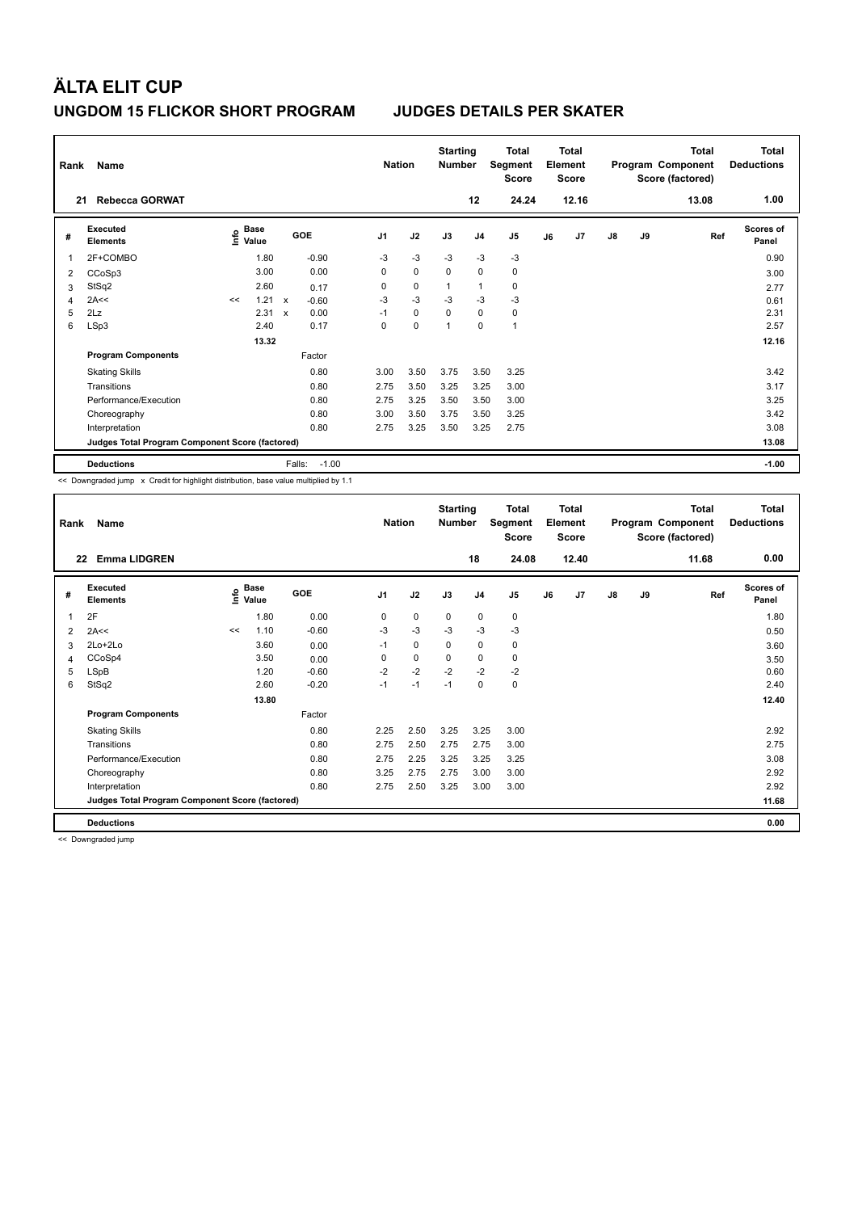| Rank<br>21     | Name<br><b>Rebecca GORWAT</b>                   |                                  |                                   |                   | <b>Nation</b>  |             | <b>Starting</b><br><b>Number</b> | 12             | <b>Total</b><br>Segment<br><b>Score</b><br>24.24 |    | <b>Total</b><br>Element<br><b>Score</b><br>12.16 |               |    | <b>Total</b><br>Program Component<br>Score (factored)<br>13.08 | Total<br><b>Deductions</b><br>1.00 |
|----------------|-------------------------------------------------|----------------------------------|-----------------------------------|-------------------|----------------|-------------|----------------------------------|----------------|--------------------------------------------------|----|--------------------------------------------------|---------------|----|----------------------------------------------------------------|------------------------------------|
|                |                                                 |                                  |                                   |                   |                |             |                                  |                |                                                  |    |                                                  |               |    |                                                                |                                    |
| #              | Executed<br><b>Elements</b>                     | <b>Base</b><br>e Base<br>⊆ Value |                                   | GOE               | J <sub>1</sub> | J2          | J3                               | J <sub>4</sub> | J <sub>5</sub>                                   | J6 | J7                                               | $\mathsf{J}8$ | J9 | Ref                                                            | <b>Scores of</b><br>Panel          |
| 1              | 2F+COMBO                                        | 1.80                             |                                   | $-0.90$           | $-3$           | $-3$        | $-3$                             | $-3$           | $-3$                                             |    |                                                  |               |    |                                                                | 0.90                               |
| $\overline{2}$ | CCoSp3                                          | 3.00                             |                                   | 0.00              | 0              | $\mathbf 0$ | 0                                | $\mathbf 0$    | 0                                                |    |                                                  |               |    |                                                                | 3.00                               |
| 3              | StSq2                                           | 2.60                             |                                   | 0.17              | 0              | $\mathbf 0$ | $\mathbf{1}$                     | $\mathbf{1}$   | $\mathbf 0$                                      |    |                                                  |               |    |                                                                | 2.77                               |
| 4              | 2A<<                                            | <<                               | 1.21<br>$\boldsymbol{\mathsf{x}}$ | $-0.60$           | $-3$           | $-3$        | $-3$                             | $-3$           | $-3$                                             |    |                                                  |               |    |                                                                | 0.61                               |
| 5              | 2Lz                                             | 2.31                             | $\boldsymbol{\mathsf{x}}$         | 0.00              | $-1$           | 0           | 0                                | 0              | 0                                                |    |                                                  |               |    |                                                                | 2.31                               |
| 6              | LSp3                                            | 2.40                             |                                   | 0.17              | 0              | $\mathbf 0$ | $\overline{1}$                   | $\mathbf 0$    | $\mathbf{1}$                                     |    |                                                  |               |    |                                                                | 2.57                               |
|                |                                                 |                                  | 13.32                             |                   |                |             |                                  |                |                                                  |    |                                                  |               |    |                                                                | 12.16                              |
|                | <b>Program Components</b>                       |                                  |                                   | Factor            |                |             |                                  |                |                                                  |    |                                                  |               |    |                                                                |                                    |
|                | <b>Skating Skills</b>                           |                                  |                                   | 0.80              | 3.00           | 3.50        | 3.75                             | 3.50           | 3.25                                             |    |                                                  |               |    |                                                                | 3.42                               |
|                | Transitions                                     |                                  |                                   | 0.80              | 2.75           | 3.50        | 3.25                             | 3.25           | 3.00                                             |    |                                                  |               |    |                                                                | 3.17                               |
|                | Performance/Execution                           |                                  |                                   | 0.80              | 2.75           | 3.25        | 3.50                             | 3.50           | 3.00                                             |    |                                                  |               |    |                                                                | 3.25                               |
|                | Choreography                                    |                                  |                                   | 0.80              | 3.00           | 3.50        | 3.75                             | 3.50           | 3.25                                             |    |                                                  |               |    |                                                                | 3.42                               |
|                | Interpretation                                  |                                  |                                   | 0.80              | 2.75           | 3.25        | 3.50                             | 3.25           | 2.75                                             |    |                                                  |               |    |                                                                | 3.08                               |
|                | Judges Total Program Component Score (factored) |                                  |                                   |                   |                |             |                                  |                |                                                  |    |                                                  |               |    |                                                                | 13.08                              |
|                | <b>Deductions</b>                               |                                  |                                   | $-1.00$<br>Falls: |                |             |                                  |                |                                                  |    |                                                  |               |    |                                                                | $-1.00$                            |

<< Downgraded jump x Credit for highlight distribution, base value multiplied by 1.1

| Rank | Name                                            |      |                      |            | <b>Nation</b>  |      | <b>Starting</b><br><b>Number</b> |                | <b>Total</b><br>Segment<br><b>Score</b> |    | <b>Total</b><br>Element<br><b>Score</b> |    |    | <b>Total</b><br>Program Component<br>Score (factored) | Total<br><b>Deductions</b> |
|------|-------------------------------------------------|------|----------------------|------------|----------------|------|----------------------------------|----------------|-----------------------------------------|----|-----------------------------------------|----|----|-------------------------------------------------------|----------------------------|
| 22   | <b>Emma LIDGREN</b>                             |      |                      |            |                |      |                                  | 18             | 24.08                                   |    | 12.40                                   |    |    | 11.68                                                 | 0.00                       |
| #    | Executed<br><b>Elements</b>                     | lmfo | <b>Base</b><br>Value | <b>GOE</b> | J <sub>1</sub> | J2   | J3                               | J <sub>4</sub> | J <sub>5</sub>                          | J6 | J7                                      | J8 | J9 | Ref                                                   | <b>Scores of</b><br>Panel  |
| 1    | 2F                                              |      | 1.80                 | 0.00       | 0              | 0    | 0                                | $\mathbf 0$    | 0                                       |    |                                         |    |    |                                                       | 1.80                       |
| 2    | 2A<<                                            | <<   | 1.10                 | $-0.60$    | $-3$           | $-3$ | $-3$                             | $-3$           | $-3$                                    |    |                                         |    |    |                                                       | 0.50                       |
| 3    | $2Lo+2Lo$                                       |      | 3.60                 | 0.00       | $-1$           | 0    | 0                                | $\mathbf 0$    | 0                                       |    |                                         |    |    |                                                       | 3.60                       |
| 4    | CCoSp4                                          |      | 3.50                 | 0.00       | 0              | 0    | 0                                | 0              | 0                                       |    |                                         |    |    |                                                       | 3.50                       |
| 5    | LSpB                                            |      | 1.20                 | $-0.60$    | $-2$           | $-2$ | $-2$                             | $-2$           | $-2$                                    |    |                                         |    |    |                                                       | 0.60                       |
| 6    | StSq2                                           |      | 2.60                 | $-0.20$    | $-1$           | $-1$ | $-1$                             | 0              | 0                                       |    |                                         |    |    |                                                       | 2.40                       |
|      |                                                 |      | 13.80                |            |                |      |                                  |                |                                         |    |                                         |    |    |                                                       | 12.40                      |
|      | <b>Program Components</b>                       |      |                      | Factor     |                |      |                                  |                |                                         |    |                                         |    |    |                                                       |                            |
|      | <b>Skating Skills</b>                           |      |                      | 0.80       | 2.25           | 2.50 | 3.25                             | 3.25           | 3.00                                    |    |                                         |    |    |                                                       | 2.92                       |
|      | Transitions                                     |      |                      | 0.80       | 2.75           | 2.50 | 2.75                             | 2.75           | 3.00                                    |    |                                         |    |    |                                                       | 2.75                       |
|      | Performance/Execution                           |      |                      | 0.80       | 2.75           | 2.25 | 3.25                             | 3.25           | 3.25                                    |    |                                         |    |    |                                                       | 3.08                       |
|      | Choreography                                    |      |                      | 0.80       | 3.25           | 2.75 | 2.75                             | 3.00           | 3.00                                    |    |                                         |    |    |                                                       | 2.92                       |
|      | Interpretation                                  |      |                      | 0.80       | 2.75           | 2.50 | 3.25                             | 3.00           | 3.00                                    |    |                                         |    |    |                                                       | 2.92                       |
|      | Judges Total Program Component Score (factored) |      |                      |            |                |      |                                  |                |                                         |    |                                         |    |    |                                                       | 11.68                      |
|      | <b>Deductions</b>                               |      |                      |            |                |      |                                  |                |                                         |    |                                         |    |    |                                                       | 0.00                       |

<< Downgraded jump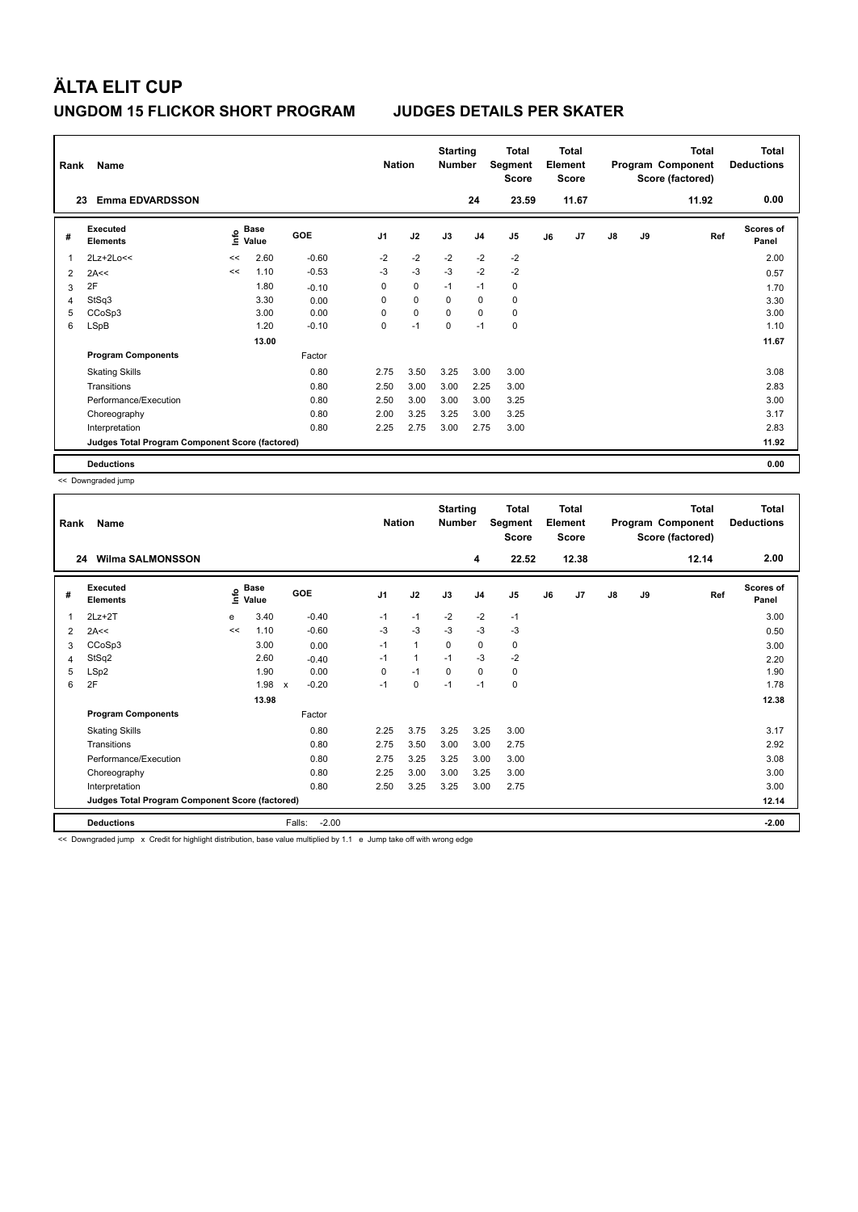| Rank | Name                                            |      | <b>Nation</b>        |            | <b>Starting</b><br><b>Number</b> |             | <b>Total</b><br>Segment<br><b>Score</b> |                | <b>Total</b><br>Element<br><b>Score</b> |    |       | <b>Total</b><br>Program Component<br>Score (factored) | Total<br><b>Deductions</b> |       |                    |
|------|-------------------------------------------------|------|----------------------|------------|----------------------------------|-------------|-----------------------------------------|----------------|-----------------------------------------|----|-------|-------------------------------------------------------|----------------------------|-------|--------------------|
|      | <b>Emma EDVARDSSON</b><br>23                    |      |                      |            |                                  |             |                                         | 24             | 23.59                                   |    | 11.67 |                                                       |                            | 11.92 | 0.00               |
| #    | Executed<br><b>Elements</b>                     | lnfo | <b>Base</b><br>Value | <b>GOE</b> | J <sub>1</sub>                   | J2          | J3                                      | J <sub>4</sub> | J5                                      | J6 | J7    | $\mathsf{J}8$                                         | J9                         | Ref   | Scores of<br>Panel |
| 1    | 2Lz+2Lo<<                                       | <<   | 2.60                 | $-0.60$    | $-2$                             | $-2$        | $-2$                                    | $-2$           | $-2$                                    |    |       |                                                       |                            |       | 2.00               |
| 2    | 2A<<                                            | <<   | 1.10                 | $-0.53$    | $-3$                             | $-3$        | $-3$                                    | $-2$           | $-2$                                    |    |       |                                                       |                            |       | 0.57               |
| 3    | 2F                                              |      | 1.80                 | $-0.10$    | 0                                | $\pmb{0}$   | $-1$                                    | $-1$           | 0                                       |    |       |                                                       |                            |       | 1.70               |
| 4    | StSq3                                           |      | 3.30                 | 0.00       | 0                                | $\mathbf 0$ | 0                                       | 0              | $\mathbf 0$                             |    |       |                                                       |                            |       | 3.30               |
| 5    | CCoSp3                                          |      | 3.00                 | 0.00       | $\Omega$                         | $\mathbf 0$ | $\Omega$                                | $\mathbf 0$    | $\mathbf 0$                             |    |       |                                                       |                            |       | 3.00               |
| 6    | LSpB                                            |      | 1.20                 | $-0.10$    | 0                                | $-1$        | $\Omega$                                | $-1$           | $\mathbf 0$                             |    |       |                                                       |                            |       | 1.10               |
|      |                                                 |      | 13.00                |            |                                  |             |                                         |                |                                         |    |       |                                                       |                            |       | 11.67              |
|      | <b>Program Components</b>                       |      |                      | Factor     |                                  |             |                                         |                |                                         |    |       |                                                       |                            |       |                    |
|      | <b>Skating Skills</b>                           |      |                      | 0.80       | 2.75                             | 3.50        | 3.25                                    | 3.00           | 3.00                                    |    |       |                                                       |                            |       | 3.08               |
|      | Transitions                                     |      |                      | 0.80       | 2.50                             | 3.00        | 3.00                                    | 2.25           | 3.00                                    |    |       |                                                       |                            |       | 2.83               |
|      | Performance/Execution                           |      |                      | 0.80       | 2.50                             | 3.00        | 3.00                                    | 3.00           | 3.25                                    |    |       |                                                       |                            |       | 3.00               |
|      | Choreography                                    |      |                      | 0.80       | 2.00                             | 3.25        | 3.25                                    | 3.00           | 3.25                                    |    |       |                                                       |                            |       | 3.17               |
|      | Interpretation                                  |      |                      | 0.80       | 2.25                             | 2.75        | 3.00                                    | 2.75           | 3.00                                    |    |       |                                                       |                            |       | 2.83               |
|      | Judges Total Program Component Score (factored) |      |                      |            |                                  |             |                                         |                |                                         |    |       |                                                       |                            |       | 11.92              |
|      | <b>Deductions</b>                               |      |                      |            |                                  |             |                                         |                |                                         |    |       |                                                       |                            |       | 0.00               |

<< Downgraded jump

| Rank | Name                                            |      |                      |                   | <b>Nation</b>  |      | <b>Starting</b><br><b>Number</b> |                | <b>Total</b><br>Segment<br>Score |    | <b>Total</b><br>Element<br><b>Score</b> |    |    | <b>Total</b><br>Program Component<br>Score (factored) | <b>Total</b><br><b>Deductions</b> |
|------|-------------------------------------------------|------|----------------------|-------------------|----------------|------|----------------------------------|----------------|----------------------------------|----|-----------------------------------------|----|----|-------------------------------------------------------|-----------------------------------|
| 24   | <b>Wilma SALMONSSON</b>                         |      |                      |                   |                |      |                                  | 4              | 22.52                            |    | 12.38                                   |    |    | 12.14                                                 | 2.00                              |
| #    | Executed<br><b>Elements</b>                     | ١mfo | <b>Base</b><br>Value | <b>GOE</b>        | J <sub>1</sub> | J2   | J3                               | J <sub>4</sub> | J <sub>5</sub>                   | J6 | J7                                      | J8 | J9 | Ref                                                   | <b>Scores of</b><br>Panel         |
| 1    | $2Lz+2T$                                        | e    | 3.40                 | $-0.40$           | $-1$           | $-1$ | $-2$                             | $-2$           | $-1$                             |    |                                         |    |    |                                                       | 3.00                              |
| 2    | 2A<<                                            | <<   | 1.10                 | $-0.60$           | $-3$           | $-3$ | $-3$                             | $-3$           | $-3$                             |    |                                         |    |    |                                                       | 0.50                              |
| 3    | CCoSp3                                          |      | 3.00                 | 0.00              | $-1$           | 1    | 0                                | 0              | 0                                |    |                                         |    |    |                                                       | 3.00                              |
| 4    | StSq2                                           |      | 2.60                 | $-0.40$           | $-1$           | 1    | $-1$                             | $-3$           | $-2$                             |    |                                         |    |    |                                                       | 2.20                              |
| 5    | LSp2                                            |      | 1.90                 | 0.00              | 0              | $-1$ | $\Omega$                         | $\mathbf 0$    | 0                                |    |                                         |    |    |                                                       | 1.90                              |
| 6    | 2F                                              |      | 1.98                 | $-0.20$<br>X      | $-1$           | 0    | $-1$                             | $-1$           | 0                                |    |                                         |    |    |                                                       | 1.78                              |
|      |                                                 |      | 13.98                |                   |                |      |                                  |                |                                  |    |                                         |    |    |                                                       | 12.38                             |
|      | <b>Program Components</b>                       |      |                      | Factor            |                |      |                                  |                |                                  |    |                                         |    |    |                                                       |                                   |
|      | <b>Skating Skills</b>                           |      |                      | 0.80              | 2.25           | 3.75 | 3.25                             | 3.25           | 3.00                             |    |                                         |    |    |                                                       | 3.17                              |
|      | Transitions                                     |      |                      | 0.80              | 2.75           | 3.50 | 3.00                             | 3.00           | 2.75                             |    |                                         |    |    |                                                       | 2.92                              |
|      | Performance/Execution                           |      |                      | 0.80              | 2.75           | 3.25 | 3.25                             | 3.00           | 3.00                             |    |                                         |    |    |                                                       | 3.08                              |
|      | Choreography                                    |      |                      | 0.80              | 2.25           | 3.00 | 3.00                             | 3.25           | 3.00                             |    |                                         |    |    |                                                       | 3.00                              |
|      | Interpretation                                  |      |                      | 0.80              | 2.50           | 3.25 | 3.25                             | 3.00           | 2.75                             |    |                                         |    |    |                                                       | 3.00                              |
|      | Judges Total Program Component Score (factored) |      |                      |                   |                |      |                                  |                |                                  |    |                                         |    |    |                                                       | 12.14                             |
|      | <b>Deductions</b>                               |      |                      | $-2.00$<br>Falls: |                |      |                                  |                |                                  |    |                                         |    |    |                                                       | $-2.00$                           |

<< Downgraded jump x Credit for highlight distribution, base value multiplied by 1.1 e Jump take off with wrong edge